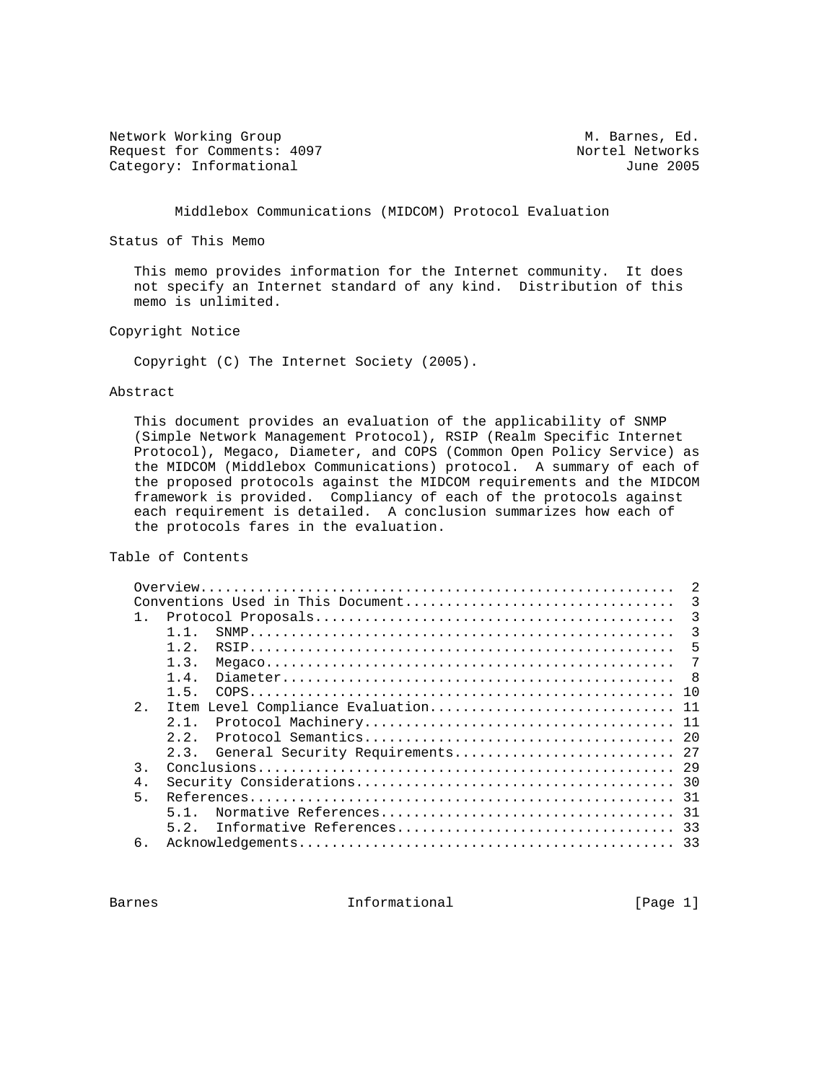Network Working Group Metwork Working Group Metwork Metwork Metal Request for Comments: 4097 Nortel Networks<br>
Category: Informational due and the category: Informational due Category: Informational

Middlebox Communications (MIDCOM) Protocol Evaluation

Status of This Memo

 This memo provides information for the Internet community. It does not specify an Internet standard of any kind. Distribution of this memo is unlimited.

Copyright Notice

Copyright (C) The Internet Society (2005).

#### Abstract

 This document provides an evaluation of the applicability of SNMP (Simple Network Management Protocol), RSIP (Realm Specific Internet Protocol), Megaco, Diameter, and COPS (Common Open Policy Service) as the MIDCOM (Middlebox Communications) protocol. A summary of each of the proposed protocols against the MIDCOM requirements and the MIDCOM framework is provided. Compliancy of each of the protocols against each requirement is detailed. A conclusion summarizes how each of the protocols fares in the evaluation.

# Table of Contents

|                | 2                                      |  |  |  |  |
|----------------|----------------------------------------|--|--|--|--|
|                | 3<br>Conventions Used in This Document |  |  |  |  |
| $1$ .          |                                        |  |  |  |  |
|                | 3<br>1 1                               |  |  |  |  |
|                | $1\quad 2$<br>5                        |  |  |  |  |
|                | 1.3.<br>7                              |  |  |  |  |
|                | 1.4.<br>- 8                            |  |  |  |  |
|                | 1.5.                                   |  |  |  |  |
| 2.             | Item Level Compliance Evaluation 11    |  |  |  |  |
|                | 2 1                                    |  |  |  |  |
|                | 2, 2                                   |  |  |  |  |
|                | 2.3.                                   |  |  |  |  |
| $\mathcal{E}$  |                                        |  |  |  |  |
| 4.             |                                        |  |  |  |  |
| 5 <sub>1</sub> |                                        |  |  |  |  |
|                | 5 1                                    |  |  |  |  |
|                | 5.2.                                   |  |  |  |  |
| 6.             |                                        |  |  |  |  |
|                |                                        |  |  |  |  |

Barnes **Informational Informational** [Page 1]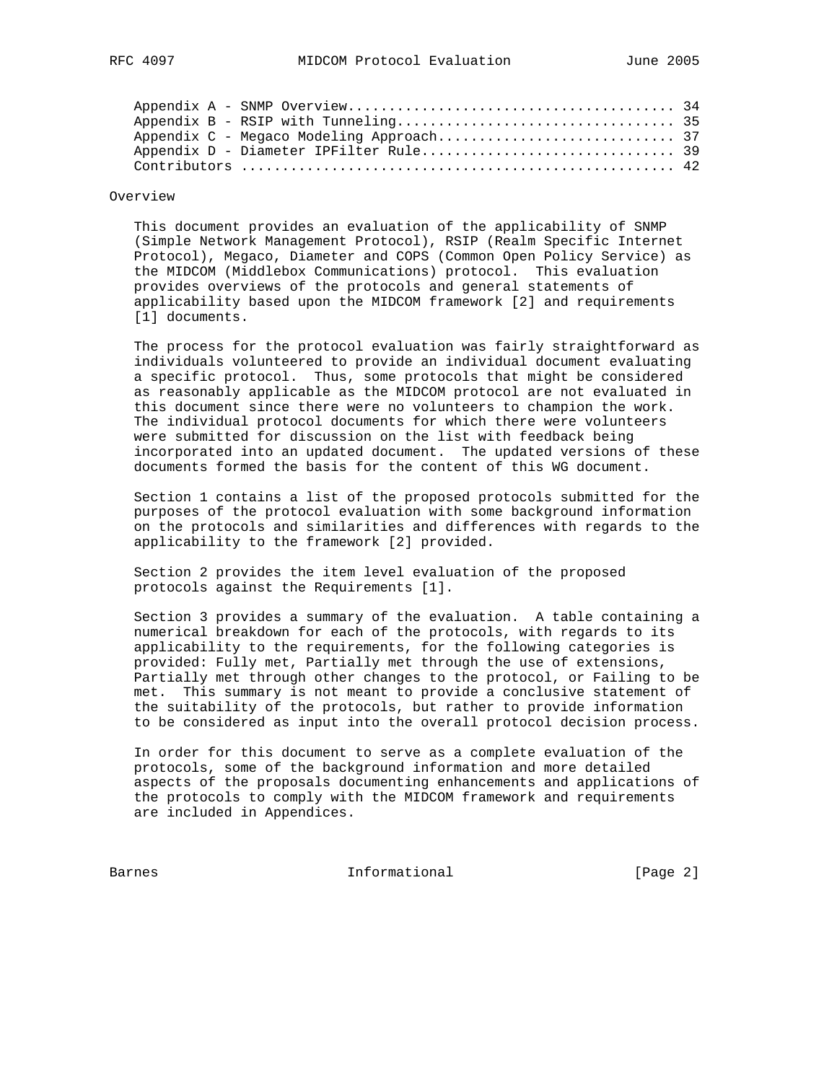### Overview

 This document provides an evaluation of the applicability of SNMP (Simple Network Management Protocol), RSIP (Realm Specific Internet Protocol), Megaco, Diameter and COPS (Common Open Policy Service) as the MIDCOM (Middlebox Communications) protocol. This evaluation provides overviews of the protocols and general statements of applicability based upon the MIDCOM framework [2] and requirements [1] documents.

 The process for the protocol evaluation was fairly straightforward as individuals volunteered to provide an individual document evaluating a specific protocol. Thus, some protocols that might be considered as reasonably applicable as the MIDCOM protocol are not evaluated in this document since there were no volunteers to champion the work. The individual protocol documents for which there were volunteers were submitted for discussion on the list with feedback being incorporated into an updated document. The updated versions of these documents formed the basis for the content of this WG document.

 Section 1 contains a list of the proposed protocols submitted for the purposes of the protocol evaluation with some background information on the protocols and similarities and differences with regards to the applicability to the framework [2] provided.

 Section 2 provides the item level evaluation of the proposed protocols against the Requirements [1].

 Section 3 provides a summary of the evaluation. A table containing a numerical breakdown for each of the protocols, with regards to its applicability to the requirements, for the following categories is provided: Fully met, Partially met through the use of extensions, Partially met through other changes to the protocol, or Failing to be met. This summary is not meant to provide a conclusive statement of the suitability of the protocols, but rather to provide information to be considered as input into the overall protocol decision process.

 In order for this document to serve as a complete evaluation of the protocols, some of the background information and more detailed aspects of the proposals documenting enhancements and applications of the protocols to comply with the MIDCOM framework and requirements are included in Appendices.

Barnes 1nformational 1999 [Page 2]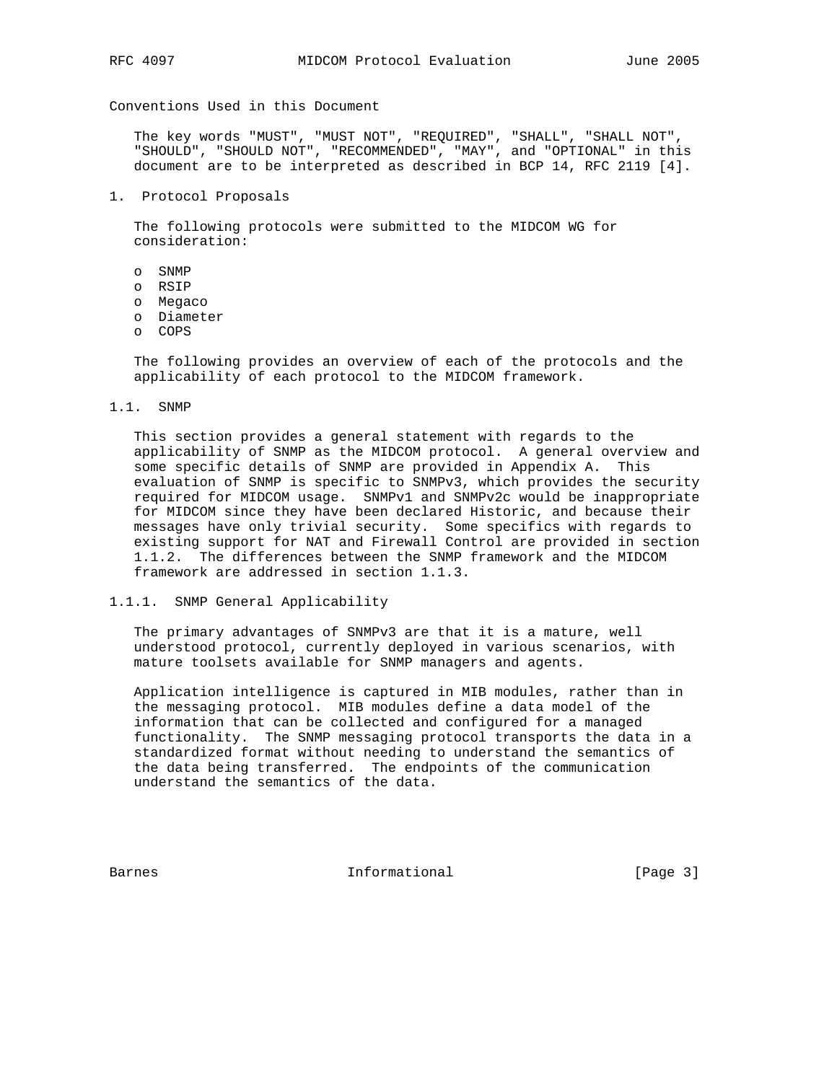Conventions Used in this Document

 The key words "MUST", "MUST NOT", "REQUIRED", "SHALL", "SHALL NOT", "SHOULD", "SHOULD NOT", "RECOMMENDED", "MAY", and "OPTIONAL" in this document are to be interpreted as described in BCP 14, RFC 2119 [4].

1. Protocol Proposals

 The following protocols were submitted to the MIDCOM WG for consideration:

- o SNMP
- o RSIP
- o Megaco
- o Diameter
- o COPS

 The following provides an overview of each of the protocols and the applicability of each protocol to the MIDCOM framework.

#### 1.1. SNMP

 This section provides a general statement with regards to the applicability of SNMP as the MIDCOM protocol. A general overview and some specific details of SNMP are provided in Appendix A. This evaluation of SNMP is specific to SNMPv3, which provides the security required for MIDCOM usage. SNMPv1 and SNMPv2c would be inappropriate for MIDCOM since they have been declared Historic, and because their messages have only trivial security. Some specifics with regards to existing support for NAT and Firewall Control are provided in section 1.1.2. The differences between the SNMP framework and the MIDCOM framework are addressed in section 1.1.3.

### 1.1.1. SNMP General Applicability

 The primary advantages of SNMPv3 are that it is a mature, well understood protocol, currently deployed in various scenarios, with mature toolsets available for SNMP managers and agents.

 Application intelligence is captured in MIB modules, rather than in the messaging protocol. MIB modules define a data model of the information that can be collected and configured for a managed functionality. The SNMP messaging protocol transports the data in a standardized format without needing to understand the semantics of the data being transferred. The endpoints of the communication understand the semantics of the data.

Barnes **Informational Informational** [Page 3]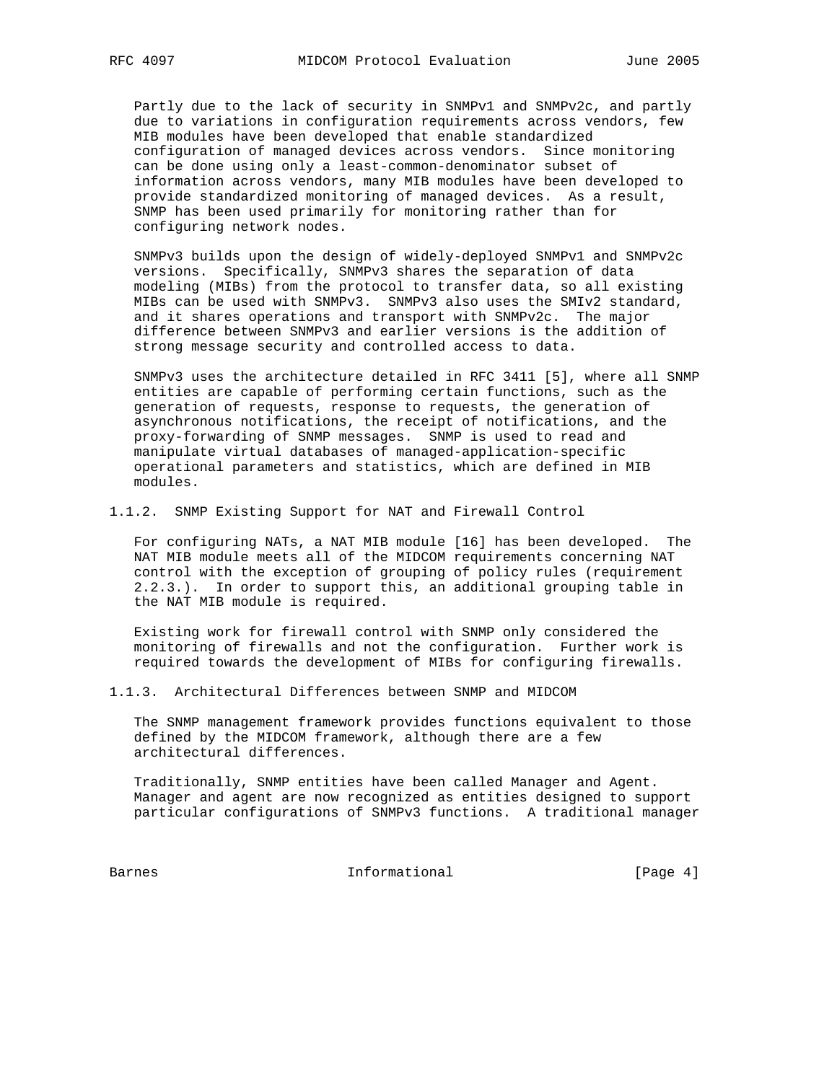Partly due to the lack of security in SNMPv1 and SNMPv2c, and partly due to variations in configuration requirements across vendors, few MIB modules have been developed that enable standardized configuration of managed devices across vendors. Since monitoring can be done using only a least-common-denominator subset of information across vendors, many MIB modules have been developed to provide standardized monitoring of managed devices. As a result, SNMP has been used primarily for monitoring rather than for configuring network nodes.

 SNMPv3 builds upon the design of widely-deployed SNMPv1 and SNMPv2c versions. Specifically, SNMPv3 shares the separation of data modeling (MIBs) from the protocol to transfer data, so all existing MIBs can be used with SNMPv3. SNMPv3 also uses the SMIv2 standard, and it shares operations and transport with SNMPv2c. The major difference between SNMPv3 and earlier versions is the addition of strong message security and controlled access to data.

 SNMPv3 uses the architecture detailed in RFC 3411 [5], where all SNMP entities are capable of performing certain functions, such as the generation of requests, response to requests, the generation of asynchronous notifications, the receipt of notifications, and the proxy-forwarding of SNMP messages. SNMP is used to read and manipulate virtual databases of managed-application-specific operational parameters and statistics, which are defined in MIB modules.

1.1.2. SNMP Existing Support for NAT and Firewall Control

 For configuring NATs, a NAT MIB module [16] has been developed. The NAT MIB module meets all of the MIDCOM requirements concerning NAT control with the exception of grouping of policy rules (requirement 2.2.3.). In order to support this, an additional grouping table in the NAT MIB module is required.

 Existing work for firewall control with SNMP only considered the monitoring of firewalls and not the configuration. Further work is required towards the development of MIBs for configuring firewalls.

1.1.3. Architectural Differences between SNMP and MIDCOM

 The SNMP management framework provides functions equivalent to those defined by the MIDCOM framework, although there are a few architectural differences.

 Traditionally, SNMP entities have been called Manager and Agent. Manager and agent are now recognized as entities designed to support particular configurations of SNMPv3 functions. A traditional manager

Barnes Informational [Page 4]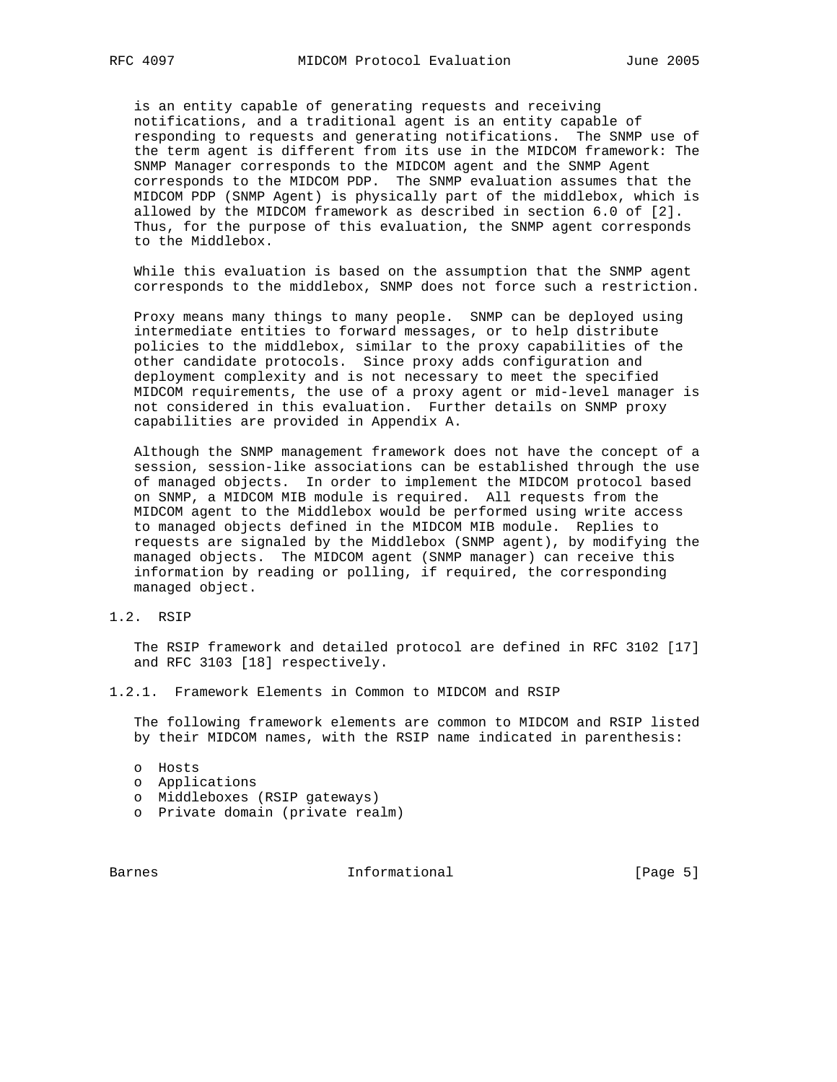is an entity capable of generating requests and receiving notifications, and a traditional agent is an entity capable of responding to requests and generating notifications. The SNMP use of the term agent is different from its use in the MIDCOM framework: The SNMP Manager corresponds to the MIDCOM agent and the SNMP Agent corresponds to the MIDCOM PDP. The SNMP evaluation assumes that the MIDCOM PDP (SNMP Agent) is physically part of the middlebox, which is allowed by the MIDCOM framework as described in section 6.0 of [2]. Thus, for the purpose of this evaluation, the SNMP agent corresponds to the Middlebox.

 While this evaluation is based on the assumption that the SNMP agent corresponds to the middlebox, SNMP does not force such a restriction.

 Proxy means many things to many people. SNMP can be deployed using intermediate entities to forward messages, or to help distribute policies to the middlebox, similar to the proxy capabilities of the other candidate protocols. Since proxy adds configuration and deployment complexity and is not necessary to meet the specified MIDCOM requirements, the use of a proxy agent or mid-level manager is not considered in this evaluation. Further details on SNMP proxy capabilities are provided in Appendix A.

 Although the SNMP management framework does not have the concept of a session, session-like associations can be established through the use of managed objects. In order to implement the MIDCOM protocol based on SNMP, a MIDCOM MIB module is required. All requests from the MIDCOM agent to the Middlebox would be performed using write access to managed objects defined in the MIDCOM MIB module. Replies to requests are signaled by the Middlebox (SNMP agent), by modifying the managed objects. The MIDCOM agent (SNMP manager) can receive this information by reading or polling, if required, the corresponding managed object.

1.2. RSIP

 The RSIP framework and detailed protocol are defined in RFC 3102 [17] and RFC 3103 [18] respectively.

1.2.1. Framework Elements in Common to MIDCOM and RSIP

 The following framework elements are common to MIDCOM and RSIP listed by their MIDCOM names, with the RSIP name indicated in parenthesis:

- o Hosts
- o Applications
- o Middleboxes (RSIP gateways)
- o Private domain (private realm)

Barnes **Informational Informational Example 1** [Page 5]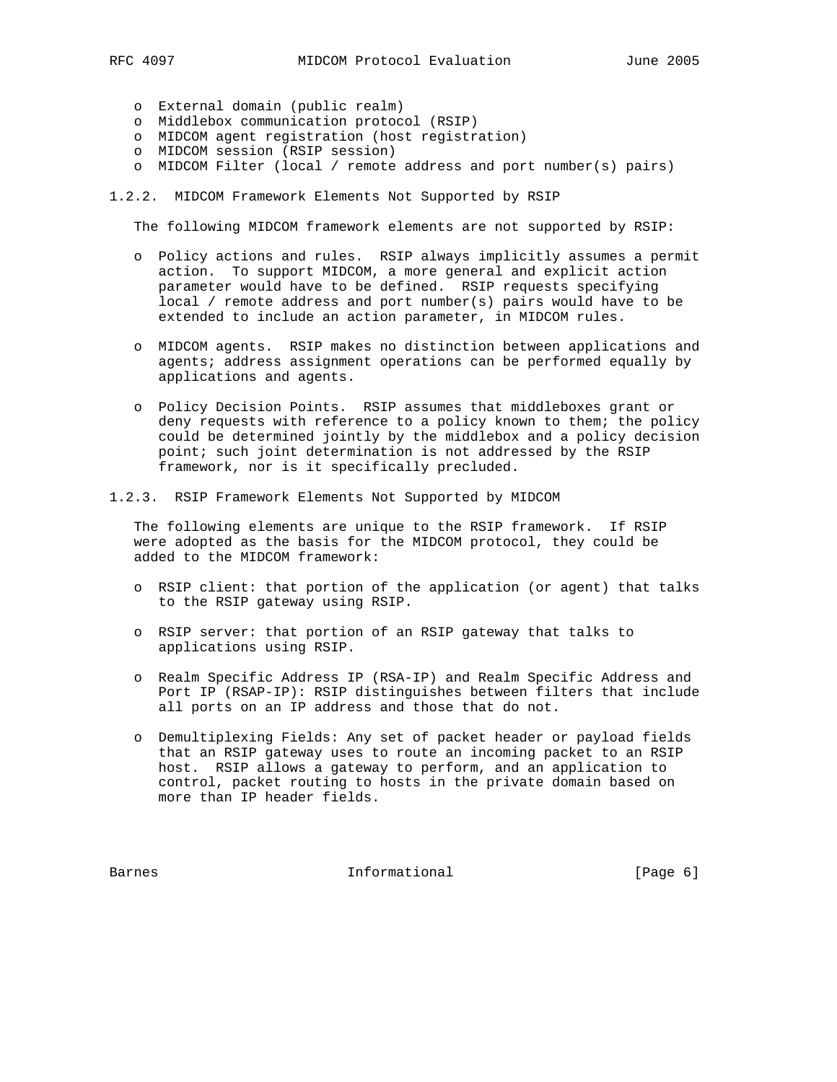- o External domain (public realm)
- o Middlebox communication protocol (RSIP)
- o MIDCOM agent registration (host registration)
- o MIDCOM session (RSIP session)
- o MIDCOM Filter (local / remote address and port number(s) pairs)

1.2.2. MIDCOM Framework Elements Not Supported by RSIP

The following MIDCOM framework elements are not supported by RSIP:

- o Policy actions and rules. RSIP always implicitly assumes a permit action. To support MIDCOM, a more general and explicit action parameter would have to be defined. RSIP requests specifying local / remote address and port number(s) pairs would have to be extended to include an action parameter, in MIDCOM rules.
- o MIDCOM agents. RSIP makes no distinction between applications and agents; address assignment operations can be performed equally by applications and agents.
- o Policy Decision Points. RSIP assumes that middleboxes grant or deny requests with reference to a policy known to them; the policy could be determined jointly by the middlebox and a policy decision point; such joint determination is not addressed by the RSIP framework, nor is it specifically precluded.
- 1.2.3. RSIP Framework Elements Not Supported by MIDCOM

 The following elements are unique to the RSIP framework. If RSIP were adopted as the basis for the MIDCOM protocol, they could be added to the MIDCOM framework:

- o RSIP client: that portion of the application (or agent) that talks to the RSIP gateway using RSIP.
- o RSIP server: that portion of an RSIP gateway that talks to applications using RSIP.
- o Realm Specific Address IP (RSA-IP) and Realm Specific Address and Port IP (RSAP-IP): RSIP distinguishes between filters that include all ports on an IP address and those that do not.
- o Demultiplexing Fields: Any set of packet header or payload fields that an RSIP gateway uses to route an incoming packet to an RSIP host. RSIP allows a gateway to perform, and an application to control, packet routing to hosts in the private domain based on more than IP header fields.

Barnes **Informational Informational Example 1** [Page 6]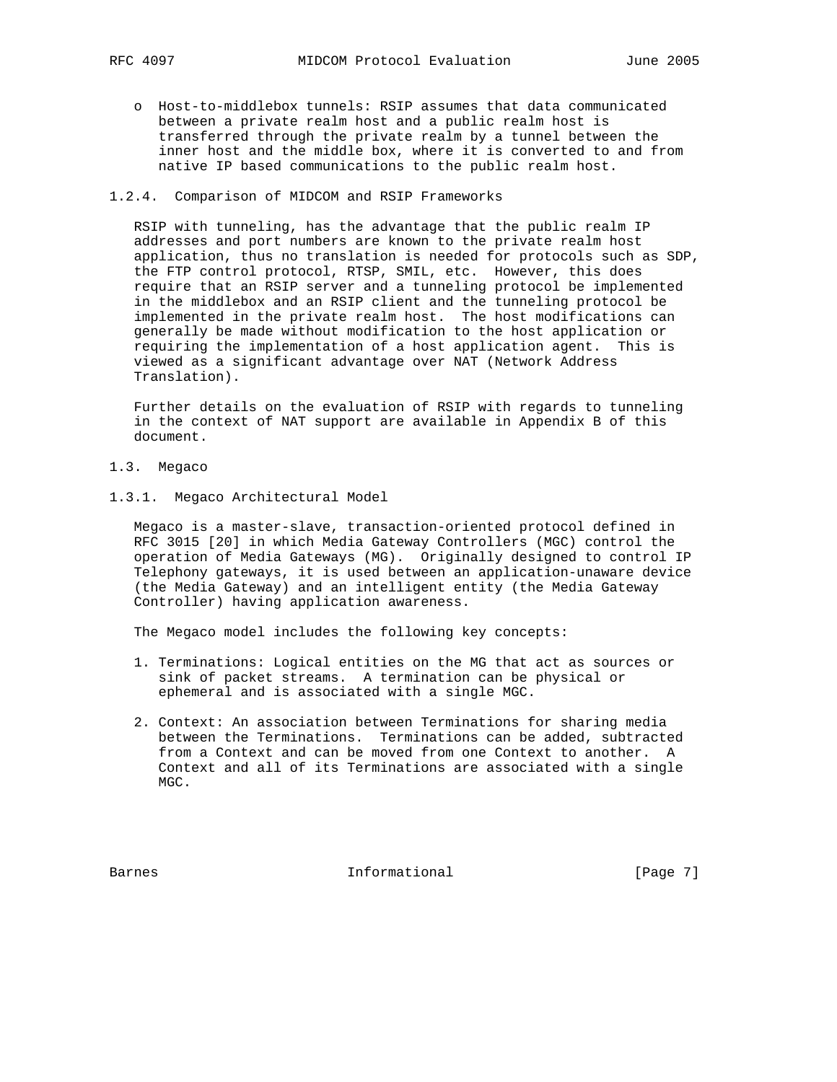o Host-to-middlebox tunnels: RSIP assumes that data communicated between a private realm host and a public realm host is transferred through the private realm by a tunnel between the inner host and the middle box, where it is converted to and from native IP based communications to the public realm host.

### 1.2.4. Comparison of MIDCOM and RSIP Frameworks

 RSIP with tunneling, has the advantage that the public realm IP addresses and port numbers are known to the private realm host application, thus no translation is needed for protocols such as SDP, the FTP control protocol, RTSP, SMIL, etc. However, this does require that an RSIP server and a tunneling protocol be implemented in the middlebox and an RSIP client and the tunneling protocol be implemented in the private realm host. The host modifications can generally be made without modification to the host application or requiring the implementation of a host application agent. This is viewed as a significant advantage over NAT (Network Address Translation).

 Further details on the evaluation of RSIP with regards to tunneling in the context of NAT support are available in Appendix B of this document.

- 1.3. Megaco
- 1.3.1. Megaco Architectural Model

 Megaco is a master-slave, transaction-oriented protocol defined in RFC 3015 [20] in which Media Gateway Controllers (MGC) control the operation of Media Gateways (MG). Originally designed to control IP Telephony gateways, it is used between an application-unaware device (the Media Gateway) and an intelligent entity (the Media Gateway Controller) having application awareness.

The Megaco model includes the following key concepts:

- 1. Terminations: Logical entities on the MG that act as sources or sink of packet streams. A termination can be physical or ephemeral and is associated with a single MGC.
- 2. Context: An association between Terminations for sharing media between the Terminations. Terminations can be added, subtracted from a Context and can be moved from one Context to another. A Context and all of its Terminations are associated with a single MGC.

Barnes **Informational Informational Example 1** [Page 7]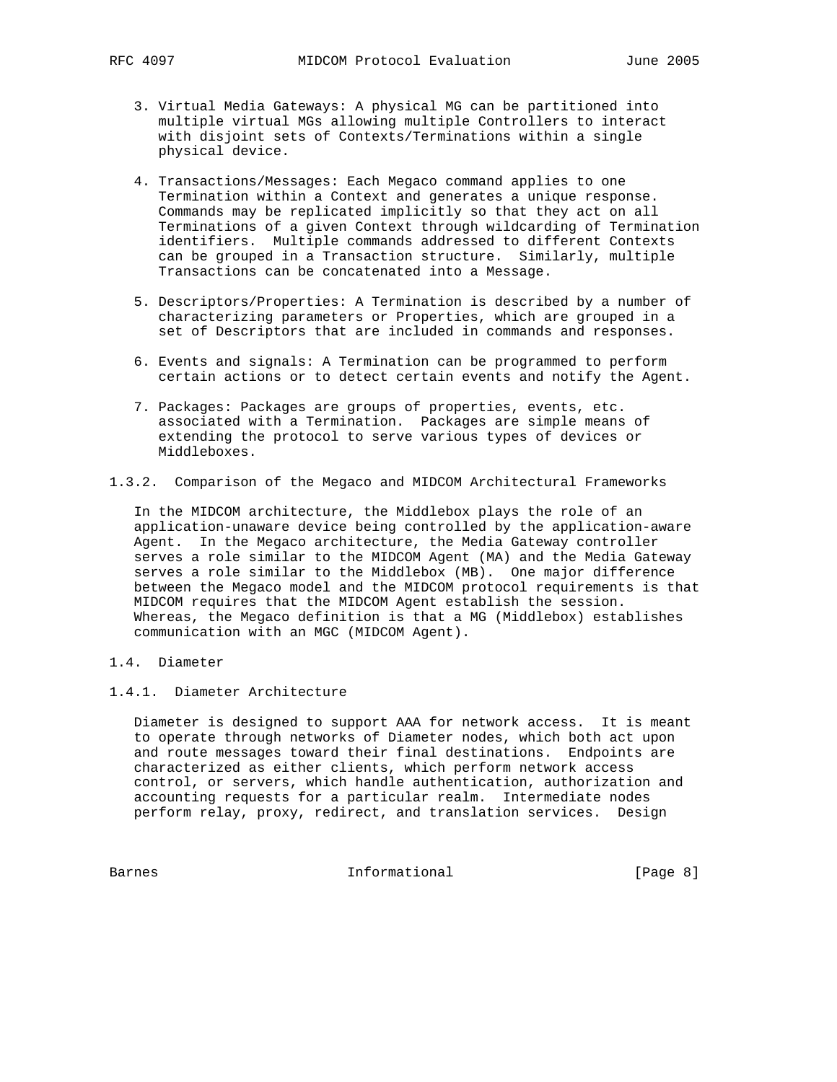- 3. Virtual Media Gateways: A physical MG can be partitioned into multiple virtual MGs allowing multiple Controllers to interact with disjoint sets of Contexts/Terminations within a single physical device.
- 4. Transactions/Messages: Each Megaco command applies to one Termination within a Context and generates a unique response. Commands may be replicated implicitly so that they act on all Terminations of a given Context through wildcarding of Termination identifiers. Multiple commands addressed to different Contexts can be grouped in a Transaction structure. Similarly, multiple Transactions can be concatenated into a Message.
- 5. Descriptors/Properties: A Termination is described by a number of characterizing parameters or Properties, which are grouped in a set of Descriptors that are included in commands and responses.
- 6. Events and signals: A Termination can be programmed to perform certain actions or to detect certain events and notify the Agent.
- 7. Packages: Packages are groups of properties, events, etc. associated with a Termination. Packages are simple means of extending the protocol to serve various types of devices or Middleboxes.
- 1.3.2. Comparison of the Megaco and MIDCOM Architectural Frameworks

 In the MIDCOM architecture, the Middlebox plays the role of an application-unaware device being controlled by the application-aware Agent. In the Megaco architecture, the Media Gateway controller serves a role similar to the MIDCOM Agent (MA) and the Media Gateway serves a role similar to the Middlebox (MB). One major difference between the Megaco model and the MIDCOM protocol requirements is that MIDCOM requires that the MIDCOM Agent establish the session. Whereas, the Megaco definition is that a MG (Middlebox) establishes communication with an MGC (MIDCOM Agent).

1.4. Diameter

## 1.4.1. Diameter Architecture

 Diameter is designed to support AAA for network access. It is meant to operate through networks of Diameter nodes, which both act upon and route messages toward their final destinations. Endpoints are characterized as either clients, which perform network access control, or servers, which handle authentication, authorization and accounting requests for a particular realm. Intermediate nodes perform relay, proxy, redirect, and translation services. Design

Barnes 1nformational [Page 8]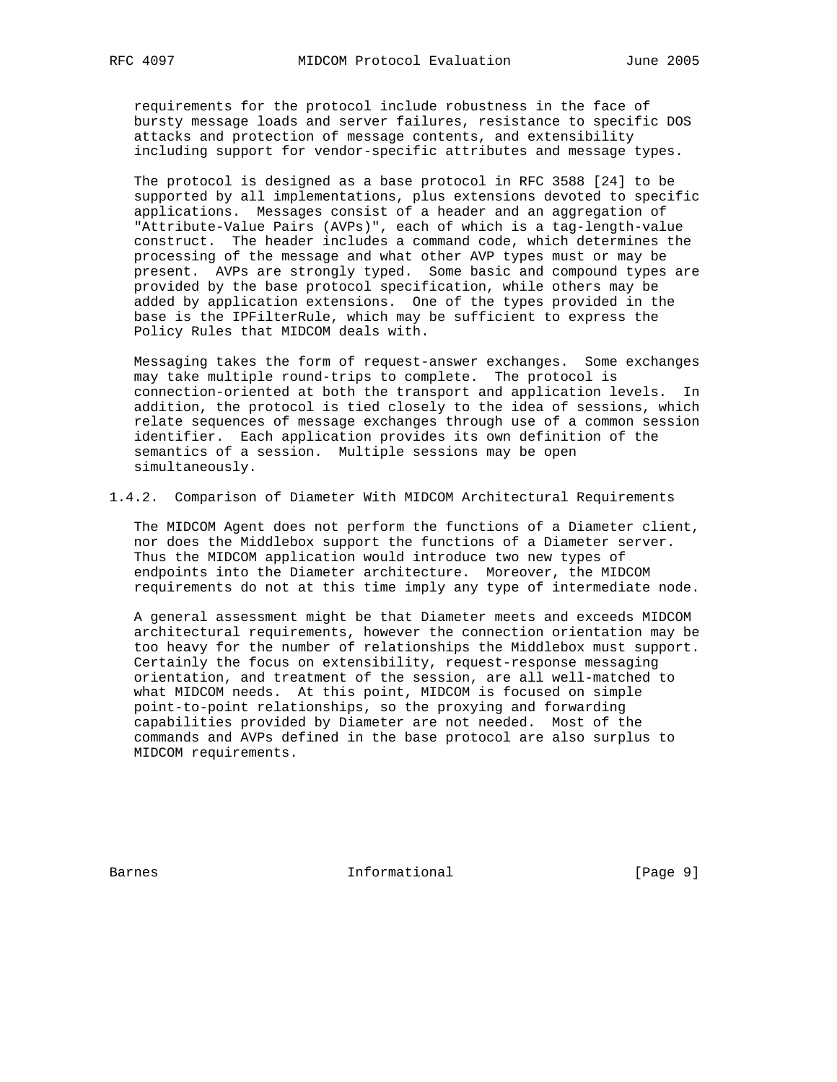requirements for the protocol include robustness in the face of bursty message loads and server failures, resistance to specific DOS attacks and protection of message contents, and extensibility including support for vendor-specific attributes and message types.

 The protocol is designed as a base protocol in RFC 3588 [24] to be supported by all implementations, plus extensions devoted to specific applications. Messages consist of a header and an aggregation of "Attribute-Value Pairs (AVPs)", each of which is a tag-length-value construct. The header includes a command code, which determines the processing of the message and what other AVP types must or may be present. AVPs are strongly typed. Some basic and compound types are provided by the base protocol specification, while others may be added by application extensions. One of the types provided in the base is the IPFilterRule, which may be sufficient to express the Policy Rules that MIDCOM deals with.

 Messaging takes the form of request-answer exchanges. Some exchanges may take multiple round-trips to complete. The protocol is connection-oriented at both the transport and application levels. In addition, the protocol is tied closely to the idea of sessions, which relate sequences of message exchanges through use of a common session identifier. Each application provides its own definition of the semantics of a session. Multiple sessions may be open simultaneously.

#### 1.4.2. Comparison of Diameter With MIDCOM Architectural Requirements

 The MIDCOM Agent does not perform the functions of a Diameter client, nor does the Middlebox support the functions of a Diameter server. Thus the MIDCOM application would introduce two new types of endpoints into the Diameter architecture. Moreover, the MIDCOM requirements do not at this time imply any type of intermediate node.

 A general assessment might be that Diameter meets and exceeds MIDCOM architectural requirements, however the connection orientation may be too heavy for the number of relationships the Middlebox must support. Certainly the focus on extensibility, request-response messaging orientation, and treatment of the session, are all well-matched to what MIDCOM needs. At this point, MIDCOM is focused on simple point-to-point relationships, so the proxying and forwarding capabilities provided by Diameter are not needed. Most of the commands and AVPs defined in the base protocol are also surplus to MIDCOM requirements.

Barnes **Informational Informational** [Page 9]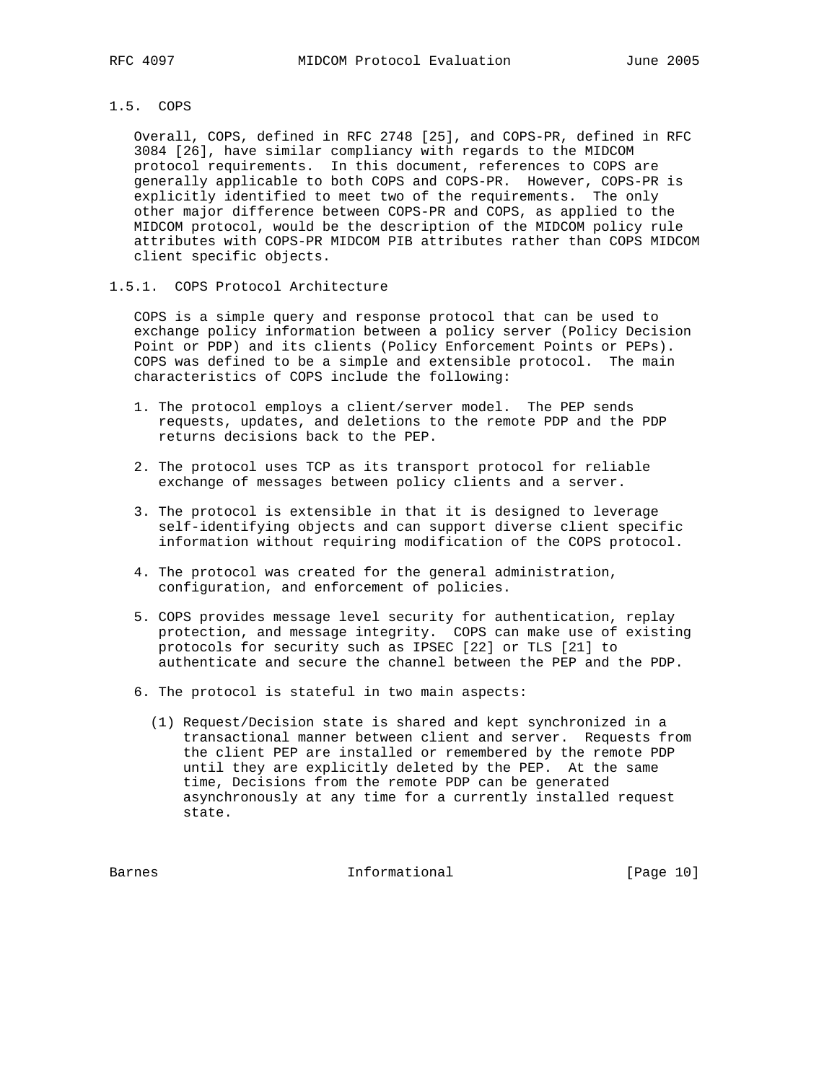### 1.5. COPS

 Overall, COPS, defined in RFC 2748 [25], and COPS-PR, defined in RFC 3084 [26], have similar compliancy with regards to the MIDCOM protocol requirements. In this document, references to COPS are generally applicable to both COPS and COPS-PR. However, COPS-PR is explicitly identified to meet two of the requirements. The only other major difference between COPS-PR and COPS, as applied to the MIDCOM protocol, would be the description of the MIDCOM policy rule attributes with COPS-PR MIDCOM PIB attributes rather than COPS MIDCOM client specific objects.

### 1.5.1. COPS Protocol Architecture

 COPS is a simple query and response protocol that can be used to exchange policy information between a policy server (Policy Decision Point or PDP) and its clients (Policy Enforcement Points or PEPs). COPS was defined to be a simple and extensible protocol. The main characteristics of COPS include the following:

- 1. The protocol employs a client/server model. The PEP sends requests, updates, and deletions to the remote PDP and the PDP returns decisions back to the PEP.
- 2. The protocol uses TCP as its transport protocol for reliable exchange of messages between policy clients and a server.
- 3. The protocol is extensible in that it is designed to leverage self-identifying objects and can support diverse client specific information without requiring modification of the COPS protocol.
- 4. The protocol was created for the general administration, configuration, and enforcement of policies.
- 5. COPS provides message level security for authentication, replay protection, and message integrity. COPS can make use of existing protocols for security such as IPSEC [22] or TLS [21] to authenticate and secure the channel between the PEP and the PDP.
- 6. The protocol is stateful in two main aspects:
	- (1) Request/Decision state is shared and kept synchronized in a transactional manner between client and server. Requests from the client PEP are installed or remembered by the remote PDP until they are explicitly deleted by the PEP. At the same time, Decisions from the remote PDP can be generated asynchronously at any time for a currently installed request state.

Barnes **Informational Informational** [Page 10]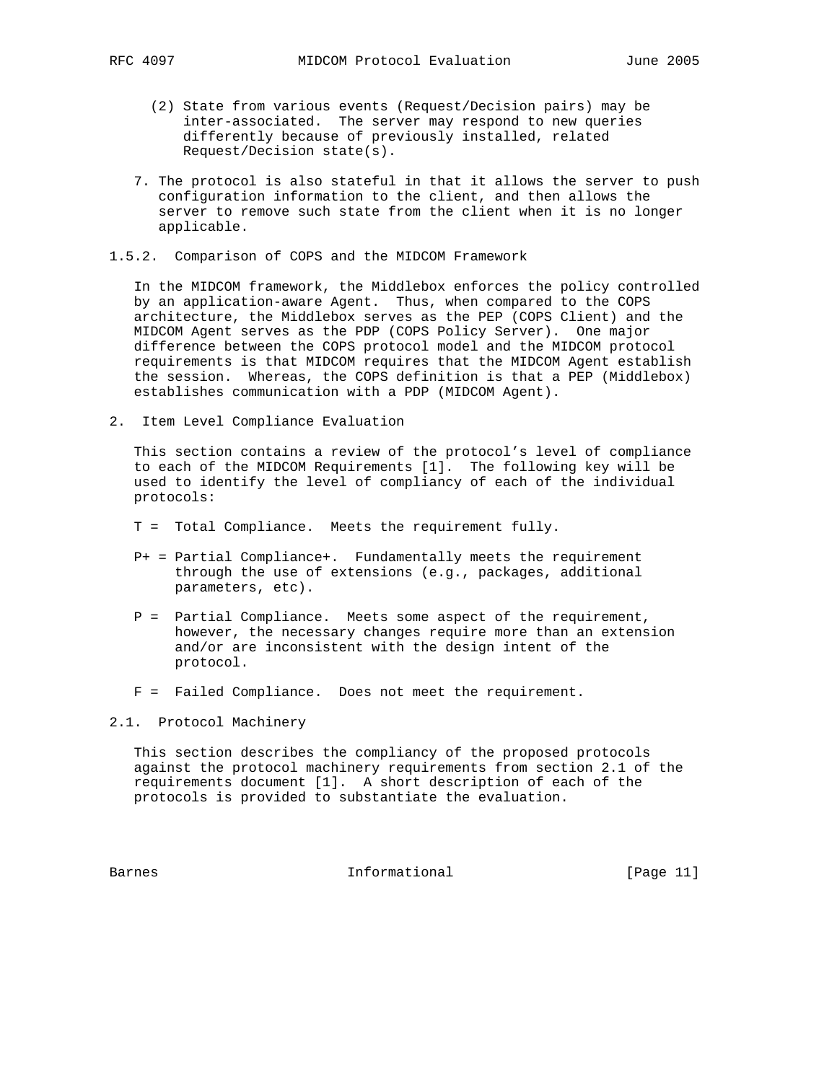- (2) State from various events (Request/Decision pairs) may be inter-associated. The server may respond to new queries differently because of previously installed, related Request/Decision state(s).
- 7. The protocol is also stateful in that it allows the server to push configuration information to the client, and then allows the server to remove such state from the client when it is no longer applicable.
- 1.5.2. Comparison of COPS and the MIDCOM Framework

 In the MIDCOM framework, the Middlebox enforces the policy controlled by an application-aware Agent. Thus, when compared to the COPS architecture, the Middlebox serves as the PEP (COPS Client) and the MIDCOM Agent serves as the PDP (COPS Policy Server). One major difference between the COPS protocol model and the MIDCOM protocol requirements is that MIDCOM requires that the MIDCOM Agent establish the session. Whereas, the COPS definition is that a PEP (Middlebox) establishes communication with a PDP (MIDCOM Agent).

2. Item Level Compliance Evaluation

 This section contains a review of the protocol's level of compliance to each of the MIDCOM Requirements [1]. The following key will be used to identify the level of compliancy of each of the individual protocols:

- T = Total Compliance. Meets the requirement fully.
- P+ = Partial Compliance+. Fundamentally meets the requirement through the use of extensions (e.g., packages, additional parameters, etc).
- P = Partial Compliance. Meets some aspect of the requirement, however, the necessary changes require more than an extension and/or are inconsistent with the design intent of the protocol.
- F = Failed Compliance. Does not meet the requirement.

# 2.1. Protocol Machinery

 This section describes the compliancy of the proposed protocols against the protocol machinery requirements from section 2.1 of the requirements document [1]. A short description of each of the protocols is provided to substantiate the evaluation.

Barnes 11 Communicational Enformational [Page 11]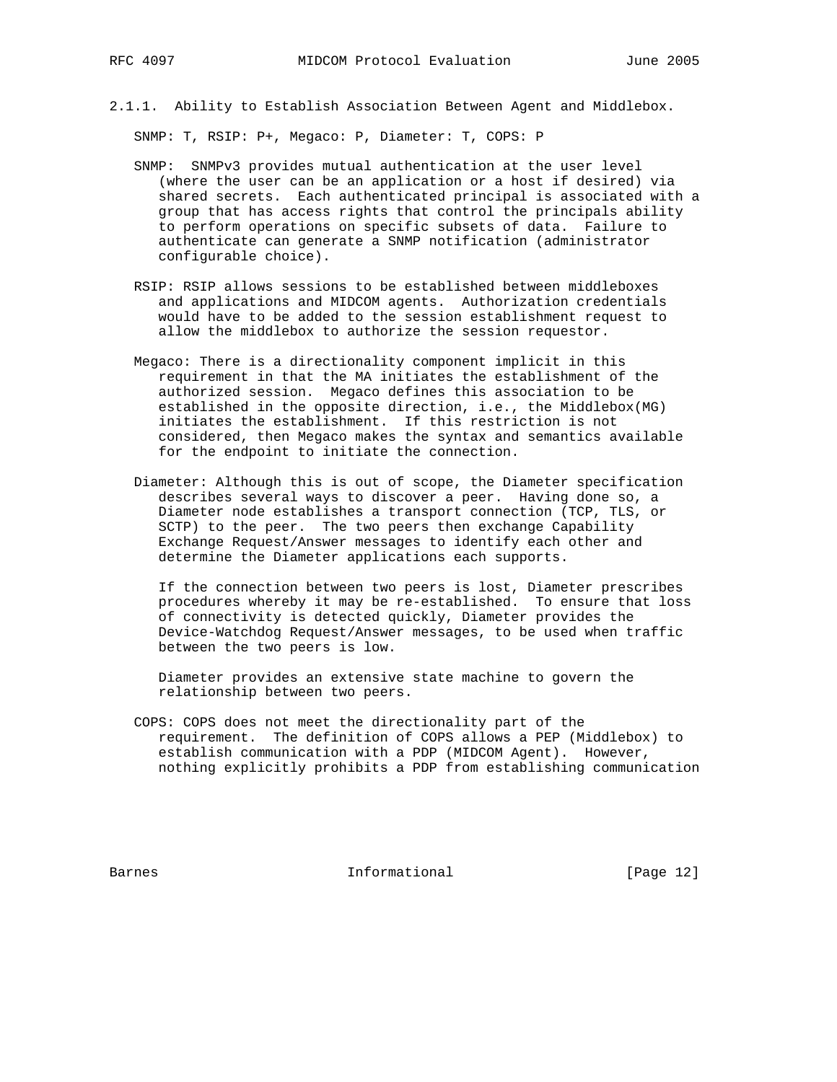2.1.1. Ability to Establish Association Between Agent and Middlebox.

SNMP: T, RSIP: P+, Megaco: P, Diameter: T, COPS: P

- SNMP: SNMPv3 provides mutual authentication at the user level (where the user can be an application or a host if desired) via shared secrets. Each authenticated principal is associated with a group that has access rights that control the principals ability to perform operations on specific subsets of data. Failure to authenticate can generate a SNMP notification (administrator configurable choice).
- RSIP: RSIP allows sessions to be established between middleboxes and applications and MIDCOM agents. Authorization credentials would have to be added to the session establishment request to allow the middlebox to authorize the session requestor.
- Megaco: There is a directionality component implicit in this requirement in that the MA initiates the establishment of the authorized session. Megaco defines this association to be established in the opposite direction, i.e., the Middlebox(MG) initiates the establishment. If this restriction is not considered, then Megaco makes the syntax and semantics available for the endpoint to initiate the connection.
- Diameter: Although this is out of scope, the Diameter specification describes several ways to discover a peer. Having done so, a Diameter node establishes a transport connection (TCP, TLS, or SCTP) to the peer. The two peers then exchange Capability Exchange Request/Answer messages to identify each other and determine the Diameter applications each supports.

 If the connection between two peers is lost, Diameter prescribes procedures whereby it may be re-established. To ensure that loss of connectivity is detected quickly, Diameter provides the Device-Watchdog Request/Answer messages, to be used when traffic between the two peers is low.

 Diameter provides an extensive state machine to govern the relationship between two peers.

 COPS: COPS does not meet the directionality part of the requirement. The definition of COPS allows a PEP (Middlebox) to establish communication with a PDP (MIDCOM Agent). However, nothing explicitly prohibits a PDP from establishing communication

Barnes **Informational Informational** [Page 12]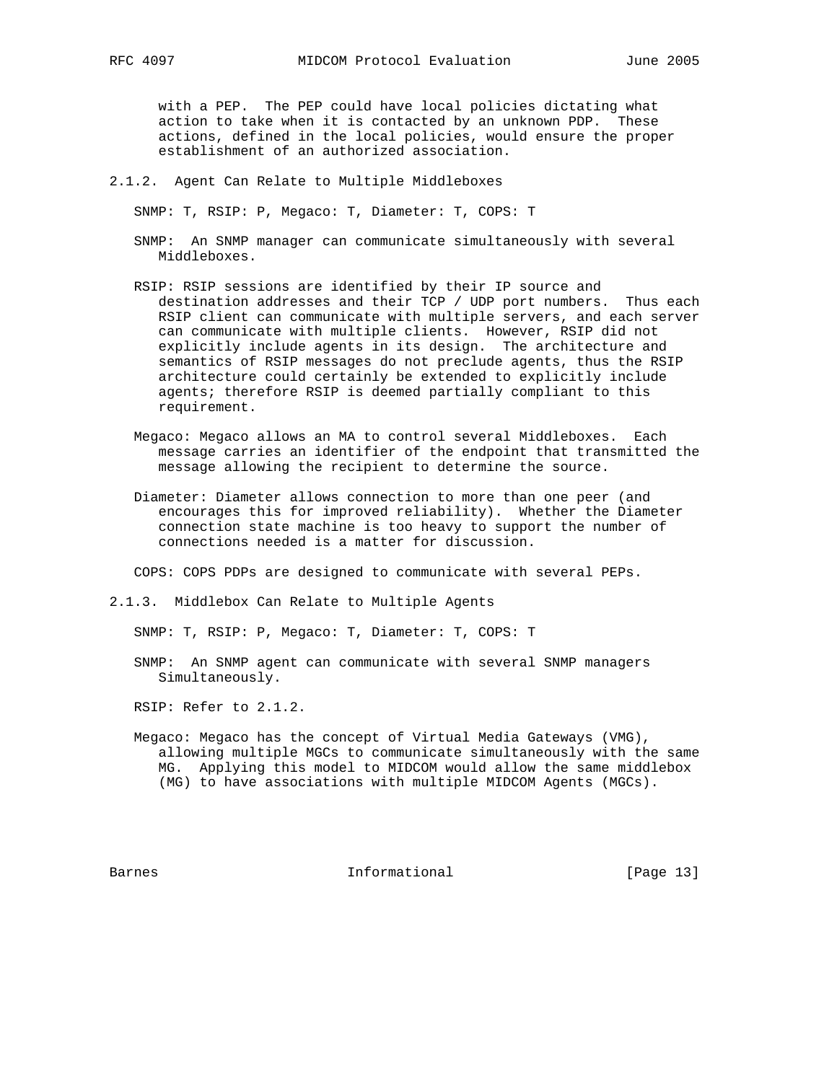with a PEP. The PEP could have local policies dictating what action to take when it is contacted by an unknown PDP. These actions, defined in the local policies, would ensure the proper establishment of an authorized association.

2.1.2. Agent Can Relate to Multiple Middleboxes

SNMP: T, RSIP: P, Megaco: T, Diameter: T, COPS: T

- SNMP: An SNMP manager can communicate simultaneously with several Middleboxes.
- RSIP: RSIP sessions are identified by their IP source and destination addresses and their TCP / UDP port numbers. Thus each RSIP client can communicate with multiple servers, and each server can communicate with multiple clients. However, RSIP did not explicitly include agents in its design. The architecture and semantics of RSIP messages do not preclude agents, thus the RSIP architecture could certainly be extended to explicitly include agents; therefore RSIP is deemed partially compliant to this requirement.
- Megaco: Megaco allows an MA to control several Middleboxes. Each message carries an identifier of the endpoint that transmitted the message allowing the recipient to determine the source.
- Diameter: Diameter allows connection to more than one peer (and encourages this for improved reliability). Whether the Diameter connection state machine is too heavy to support the number of connections needed is a matter for discussion.

COPS: COPS PDPs are designed to communicate with several PEPs.

2.1.3. Middlebox Can Relate to Multiple Agents

SNMP: T, RSIP: P, Megaco: T, Diameter: T, COPS: T

 SNMP: An SNMP agent can communicate with several SNMP managers Simultaneously.

RSIP: Refer to 2.1.2.

 Megaco: Megaco has the concept of Virtual Media Gateways (VMG), allowing multiple MGCs to communicate simultaneously with the same MG. Applying this model to MIDCOM would allow the same middlebox (MG) to have associations with multiple MIDCOM Agents (MGCs).

Barnes **Informational Informational** [Page 13]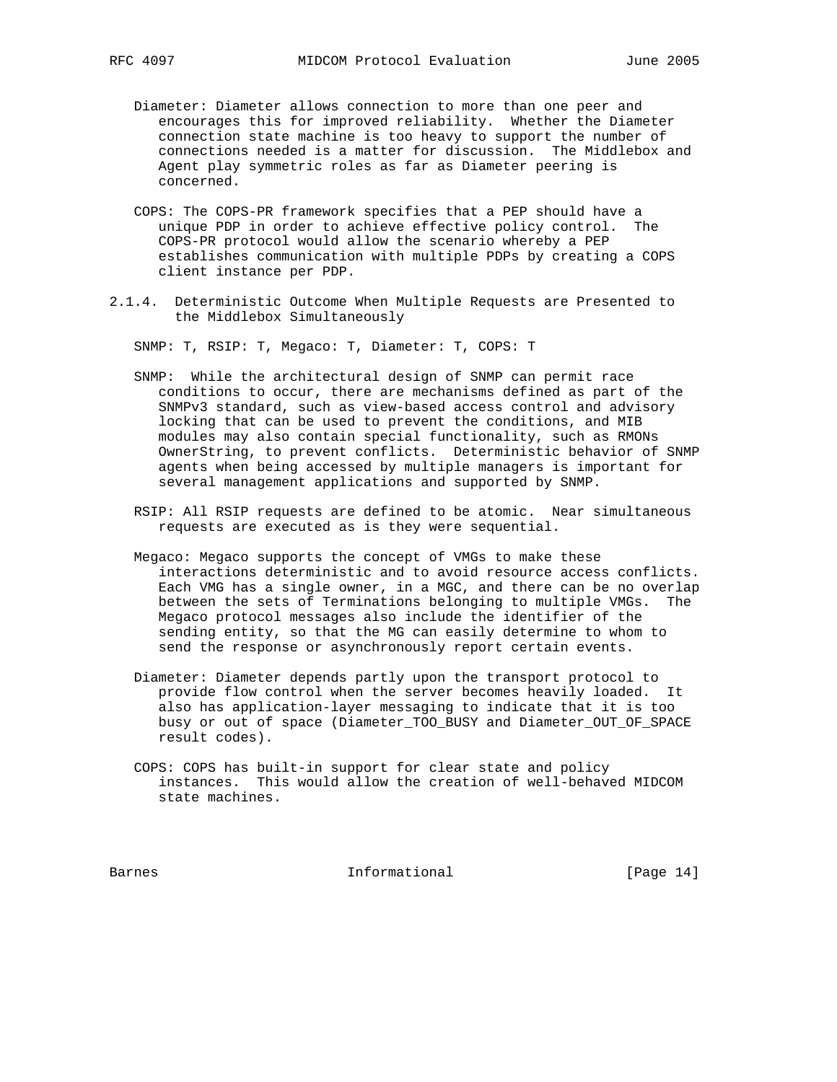- Diameter: Diameter allows connection to more than one peer and encourages this for improved reliability. Whether the Diameter connection state machine is too heavy to support the number of connections needed is a matter for discussion. The Middlebox and Agent play symmetric roles as far as Diameter peering is concerned.
- COPS: The COPS-PR framework specifies that a PEP should have a unique PDP in order to achieve effective policy control. The COPS-PR protocol would allow the scenario whereby a PEP establishes communication with multiple PDPs by creating a COPS client instance per PDP.
- 2.1.4. Deterministic Outcome When Multiple Requests are Presented to the Middlebox Simultaneously

SNMP: T, RSIP: T, Megaco: T, Diameter: T, COPS: T

- SNMP: While the architectural design of SNMP can permit race conditions to occur, there are mechanisms defined as part of the SNMPv3 standard, such as view-based access control and advisory locking that can be used to prevent the conditions, and MIB modules may also contain special functionality, such as RMONs OwnerString, to prevent conflicts. Deterministic behavior of SNMP agents when being accessed by multiple managers is important for several management applications and supported by SNMP.
- RSIP: All RSIP requests are defined to be atomic. Near simultaneous requests are executed as is they were sequential.
- Megaco: Megaco supports the concept of VMGs to make these interactions deterministic and to avoid resource access conflicts. Each VMG has a single owner, in a MGC, and there can be no overlap between the sets of Terminations belonging to multiple VMGs. The Megaco protocol messages also include the identifier of the sending entity, so that the MG can easily determine to whom to send the response or asynchronously report certain events.
- Diameter: Diameter depends partly upon the transport protocol to provide flow control when the server becomes heavily loaded. It also has application-layer messaging to indicate that it is too busy or out of space (Diameter\_TOO\_BUSY and Diameter\_OUT\_OF\_SPACE result codes).
- COPS: COPS has built-in support for clear state and policy instances. This would allow the creation of well-behaved MIDCOM state machines.

Barnes **Informational Informational** [Page 14]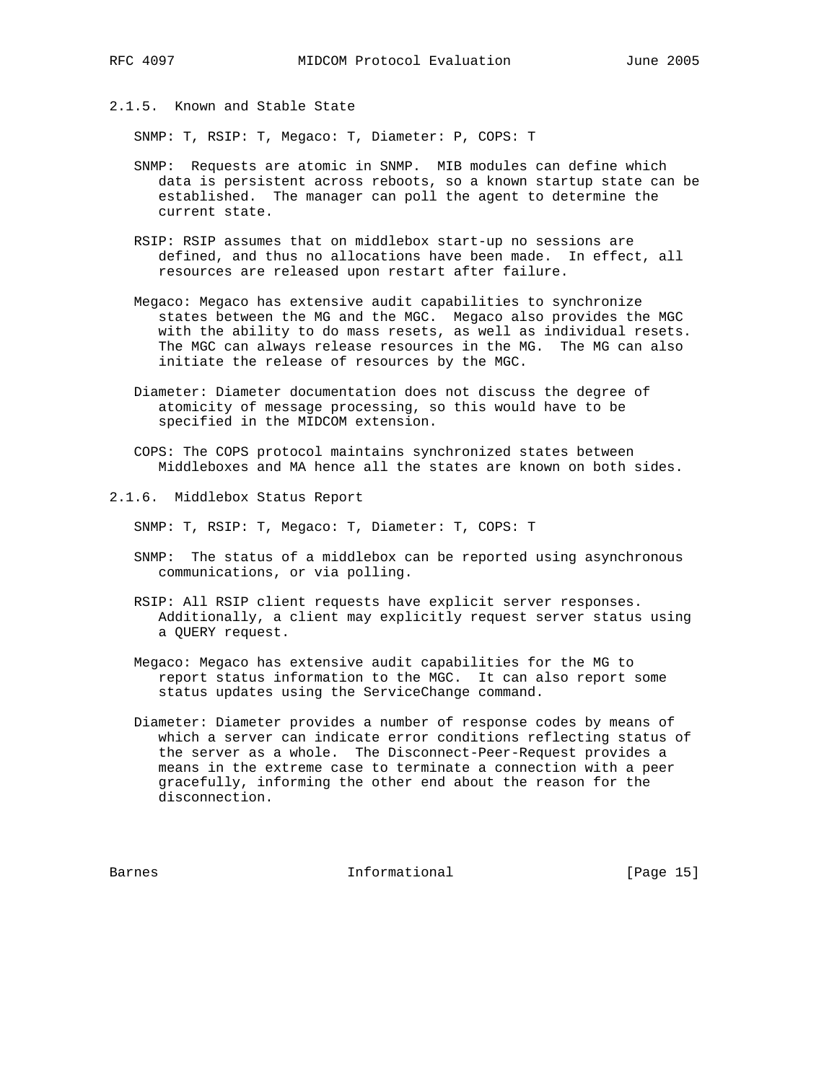2.1.5. Known and Stable State

SNMP: T, RSIP: T, Megaco: T, Diameter: P, COPS: T

- SNMP: Requests are atomic in SNMP. MIB modules can define which data is persistent across reboots, so a known startup state can be established. The manager can poll the agent to determine the current state.
- RSIP: RSIP assumes that on middlebox start-up no sessions are defined, and thus no allocations have been made. In effect, all resources are released upon restart after failure.
- Megaco: Megaco has extensive audit capabilities to synchronize states between the MG and the MGC. Megaco also provides the MGC with the ability to do mass resets, as well as individual resets. The MGC can always release resources in the MG. The MG can also initiate the release of resources by the MGC.
	- Diameter: Diameter documentation does not discuss the degree of atomicity of message processing, so this would have to be specified in the MIDCOM extension.
	- COPS: The COPS protocol maintains synchronized states between Middleboxes and MA hence all the states are known on both sides.
- 2.1.6. Middlebox Status Report

SNMP: T, RSIP: T, Megaco: T, Diameter: T, COPS: T

- SNMP: The status of a middlebox can be reported using asynchronous communications, or via polling.
- RSIP: All RSIP client requests have explicit server responses. Additionally, a client may explicitly request server status using a QUERY request.
- Megaco: Megaco has extensive audit capabilities for the MG to report status information to the MGC. It can also report some status updates using the ServiceChange command.
- Diameter: Diameter provides a number of response codes by means of which a server can indicate error conditions reflecting status of the server as a whole. The Disconnect-Peer-Request provides a means in the extreme case to terminate a connection with a peer gracefully, informing the other end about the reason for the disconnection.

Barnes **Informational Informational** [Page 15]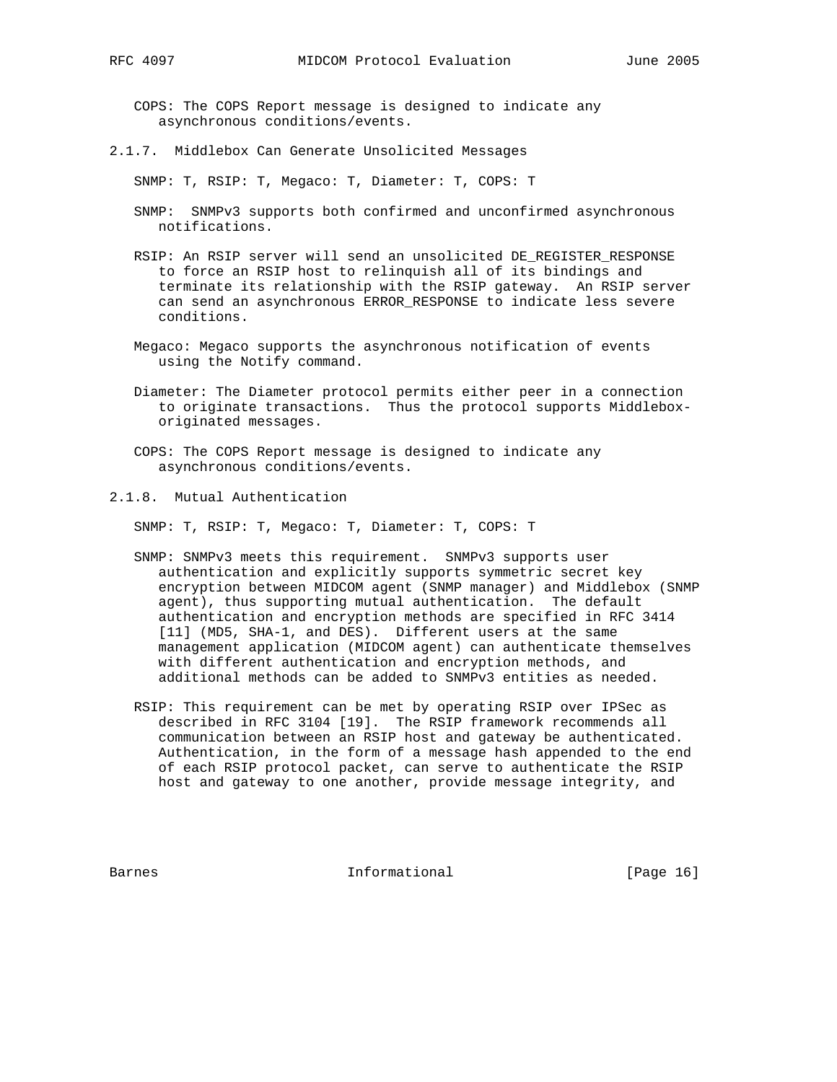COPS: The COPS Report message is designed to indicate any asynchronous conditions/events.

2.1.7. Middlebox Can Generate Unsolicited Messages

SNMP: T, RSIP: T, Megaco: T, Diameter: T, COPS: T

- SNMP: SNMPv3 supports both confirmed and unconfirmed asynchronous notifications.
- RSIP: An RSIP server will send an unsolicited DE\_REGISTER\_RESPONSE to force an RSIP host to relinquish all of its bindings and terminate its relationship with the RSIP gateway. An RSIP server can send an asynchronous ERROR\_RESPONSE to indicate less severe conditions.
- Megaco: Megaco supports the asynchronous notification of events using the Notify command.
- Diameter: The Diameter protocol permits either peer in a connection to originate transactions. Thus the protocol supports Middlebox originated messages.
- COPS: The COPS Report message is designed to indicate any asynchronous conditions/events.
- 2.1.8. Mutual Authentication

SNMP: T, RSIP: T, Megaco: T, Diameter: T, COPS: T

- SNMP: SNMPv3 meets this requirement. SNMPv3 supports user authentication and explicitly supports symmetric secret key encryption between MIDCOM agent (SNMP manager) and Middlebox (SNMP agent), thus supporting mutual authentication. The default authentication and encryption methods are specified in RFC 3414 [11] (MD5, SHA-1, and DES). Different users at the same management application (MIDCOM agent) can authenticate themselves with different authentication and encryption methods, and additional methods can be added to SNMPv3 entities as needed.
- RSIP: This requirement can be met by operating RSIP over IPSec as described in RFC 3104 [19]. The RSIP framework recommends all communication between an RSIP host and gateway be authenticated. Authentication, in the form of a message hash appended to the end of each RSIP protocol packet, can serve to authenticate the RSIP host and gateway to one another, provide message integrity, and

Barnes **Informational Informational** [Page 16]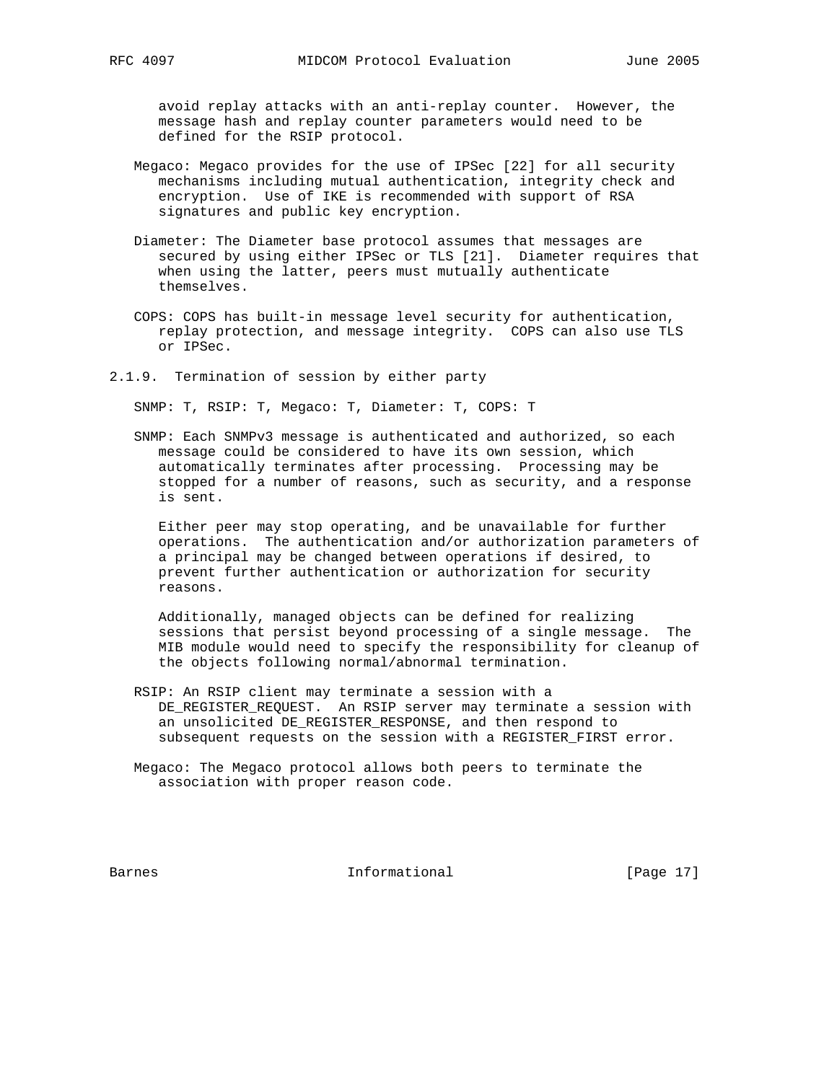avoid replay attacks with an anti-replay counter. However, the message hash and replay counter parameters would need to be defined for the RSIP protocol.

- Megaco: Megaco provides for the use of IPSec [22] for all security mechanisms including mutual authentication, integrity check and encryption. Use of IKE is recommended with support of RSA signatures and public key encryption.
- Diameter: The Diameter base protocol assumes that messages are secured by using either IPSec or TLS [21]. Diameter requires that when using the latter, peers must mutually authenticate themselves.
- COPS: COPS has built-in message level security for authentication, replay protection, and message integrity. COPS can also use TLS or IPSec.
- 2.1.9. Termination of session by either party

SNMP: T, RSIP: T, Megaco: T, Diameter: T, COPS: T

 SNMP: Each SNMPv3 message is authenticated and authorized, so each message could be considered to have its own session, which automatically terminates after processing. Processing may be stopped for a number of reasons, such as security, and a response is sent.

 Either peer may stop operating, and be unavailable for further operations. The authentication and/or authorization parameters of a principal may be changed between operations if desired, to prevent further authentication or authorization for security reasons.

 Additionally, managed objects can be defined for realizing sessions that persist beyond processing of a single message. The MIB module would need to specify the responsibility for cleanup of the objects following normal/abnormal termination.

- RSIP: An RSIP client may terminate a session with a DE\_REGISTER\_REQUEST. An RSIP server may terminate a session with an unsolicited DE\_REGISTER\_RESPONSE, and then respond to subsequent requests on the session with a REGISTER\_FIRST error.
- Megaco: The Megaco protocol allows both peers to terminate the association with proper reason code.

Barnes **Informational Informational** [Page 17]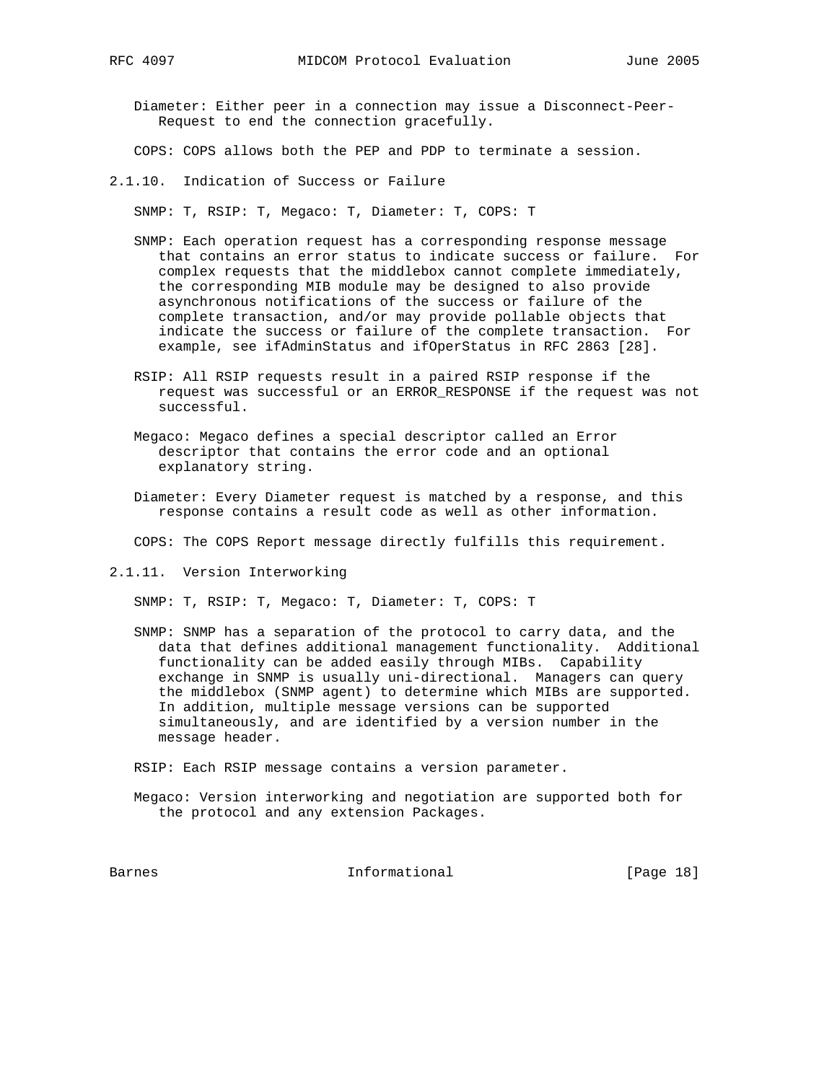Diameter: Either peer in a connection may issue a Disconnect-Peer- Request to end the connection gracefully.

COPS: COPS allows both the PEP and PDP to terminate a session.

2.1.10. Indication of Success or Failure

SNMP: T, RSIP: T, Megaco: T, Diameter: T, COPS: T

- SNMP: Each operation request has a corresponding response message that contains an error status to indicate success or failure. For complex requests that the middlebox cannot complete immediately, the corresponding MIB module may be designed to also provide asynchronous notifications of the success or failure of the complete transaction, and/or may provide pollable objects that indicate the success or failure of the complete transaction. For example, see ifAdminStatus and ifOperStatus in RFC 2863 [28].
- RSIP: All RSIP requests result in a paired RSIP response if the request was successful or an ERROR\_RESPONSE if the request was not successful.
- Megaco: Megaco defines a special descriptor called an Error descriptor that contains the error code and an optional explanatory string.
- Diameter: Every Diameter request is matched by a response, and this response contains a result code as well as other information.

COPS: The COPS Report message directly fulfills this requirement.

2.1.11. Version Interworking

SNMP: T, RSIP: T, Megaco: T, Diameter: T, COPS: T

 SNMP: SNMP has a separation of the protocol to carry data, and the data that defines additional management functionality. Additional functionality can be added easily through MIBs. Capability exchange in SNMP is usually uni-directional. Managers can query the middlebox (SNMP agent) to determine which MIBs are supported. In addition, multiple message versions can be supported simultaneously, and are identified by a version number in the message header.

RSIP: Each RSIP message contains a version parameter.

 Megaco: Version interworking and negotiation are supported both for the protocol and any extension Packages.

Barnes **Informational Informational** [Page 18]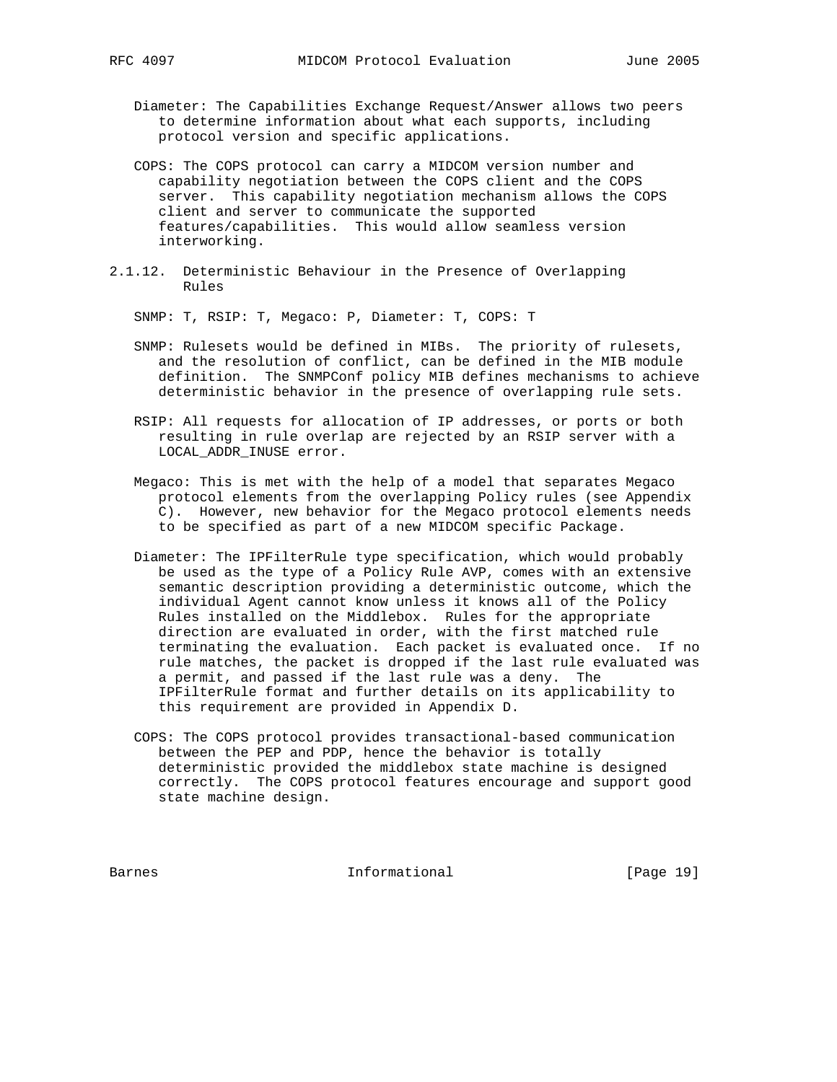- Diameter: The Capabilities Exchange Request/Answer allows two peers to determine information about what each supports, including protocol version and specific applications.
- COPS: The COPS protocol can carry a MIDCOM version number and capability negotiation between the COPS client and the COPS server. This capability negotiation mechanism allows the COPS client and server to communicate the supported features/capabilities. This would allow seamless version interworking.
- 2.1.12. Deterministic Behaviour in the Presence of Overlapping Rules

SNMP: T, RSIP: T, Megaco: P, Diameter: T, COPS: T

- SNMP: Rulesets would be defined in MIBs. The priority of rulesets, and the resolution of conflict, can be defined in the MIB module definition. The SNMPConf policy MIB defines mechanisms to achieve deterministic behavior in the presence of overlapping rule sets.
- RSIP: All requests for allocation of IP addresses, or ports or both resulting in rule overlap are rejected by an RSIP server with a LOCAL\_ADDR\_INUSE error.
- Megaco: This is met with the help of a model that separates Megaco protocol elements from the overlapping Policy rules (see Appendix C). However, new behavior for the Megaco protocol elements needs to be specified as part of a new MIDCOM specific Package.
- Diameter: The IPFilterRule type specification, which would probably be used as the type of a Policy Rule AVP, comes with an extensive semantic description providing a deterministic outcome, which the individual Agent cannot know unless it knows all of the Policy Rules installed on the Middlebox. Rules for the appropriate direction are evaluated in order, with the first matched rule terminating the evaluation. Each packet is evaluated once. If no rule matches, the packet is dropped if the last rule evaluated was a permit, and passed if the last rule was a deny. The IPFilterRule format and further details on its applicability to this requirement are provided in Appendix D.
- COPS: The COPS protocol provides transactional-based communication between the PEP and PDP, hence the behavior is totally deterministic provided the middlebox state machine is designed correctly. The COPS protocol features encourage and support good state machine design.

Barnes 1913 Communicational Enformational Frage 191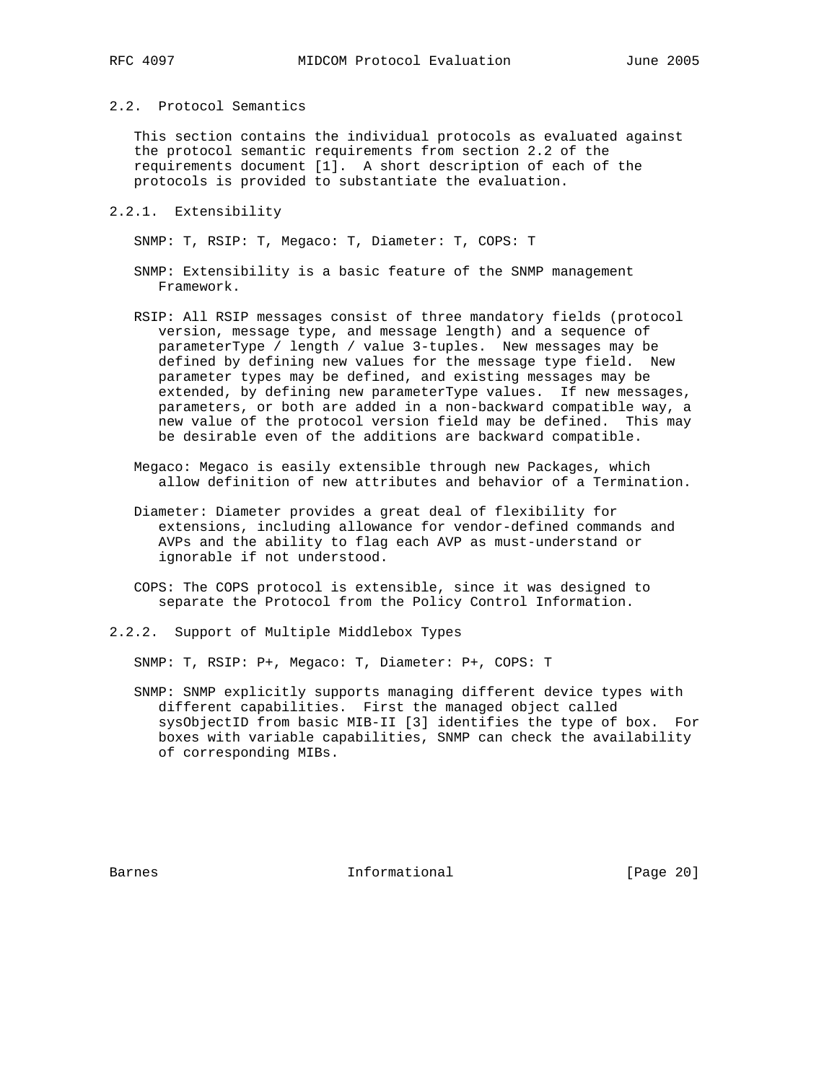### 2.2. Protocol Semantics

 This section contains the individual protocols as evaluated against the protocol semantic requirements from section 2.2 of the requirements document [1]. A short description of each of the protocols is provided to substantiate the evaluation.

#### 2.2.1. Extensibility

SNMP: T, RSIP: T, Megaco: T, Diameter: T, COPS: T

- SNMP: Extensibility is a basic feature of the SNMP management Framework.
- RSIP: All RSIP messages consist of three mandatory fields (protocol version, message type, and message length) and a sequence of parameterType / length / value 3-tuples. New messages may be defined by defining new values for the message type field. New parameter types may be defined, and existing messages may be extended, by defining new parameterType values. If new messages, parameters, or both are added in a non-backward compatible way, a new value of the protocol version field may be defined. This may be desirable even of the additions are backward compatible.
- Megaco: Megaco is easily extensible through new Packages, which allow definition of new attributes and behavior of a Termination.
- Diameter: Diameter provides a great deal of flexibility for extensions, including allowance for vendor-defined commands and AVPs and the ability to flag each AVP as must-understand or ignorable if not understood.
- COPS: The COPS protocol is extensible, since it was designed to separate the Protocol from the Policy Control Information.
- 2.2.2. Support of Multiple Middlebox Types

SNMP: T, RSIP: P+, Megaco: T, Diameter: P+, COPS: T

 SNMP: SNMP explicitly supports managing different device types with different capabilities. First the managed object called sysObjectID from basic MIB-II [3] identifies the type of box. For boxes with variable capabilities, SNMP can check the availability of corresponding MIBs.

Barnes **Informational Informational** [Page 20]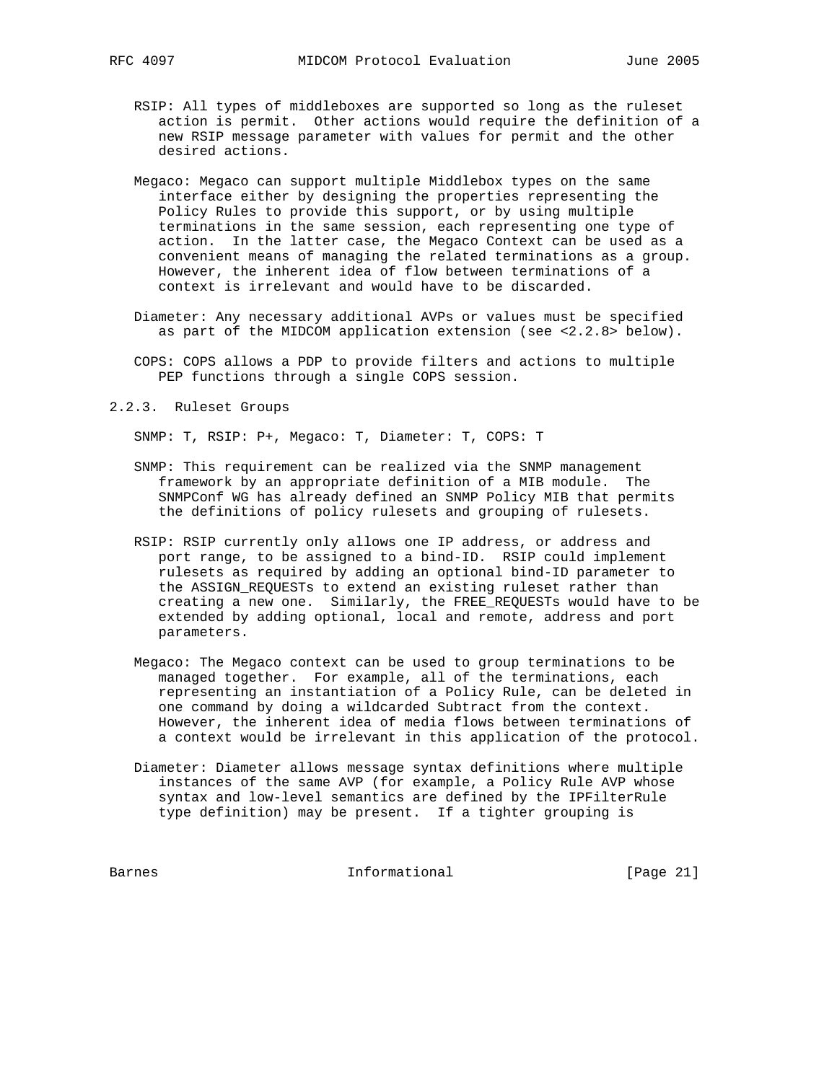- - RSIP: All types of middleboxes are supported so long as the ruleset action is permit. Other actions would require the definition of a new RSIP message parameter with values for permit and the other desired actions.
	- Megaco: Megaco can support multiple Middlebox types on the same interface either by designing the properties representing the Policy Rules to provide this support, or by using multiple terminations in the same session, each representing one type of action. In the latter case, the Megaco Context can be used as a convenient means of managing the related terminations as a group. However, the inherent idea of flow between terminations of a context is irrelevant and would have to be discarded.
	- Diameter: Any necessary additional AVPs or values must be specified as part of the MIDCOM application extension (see <2.2.8> below).
	- COPS: COPS allows a PDP to provide filters and actions to multiple PEP functions through a single COPS session.
- 2.2.3. Ruleset Groups

SNMP: T, RSIP: P+, Megaco: T, Diameter: T, COPS: T

- SNMP: This requirement can be realized via the SNMP management framework by an appropriate definition of a MIB module. The SNMPConf WG has already defined an SNMP Policy MIB that permits the definitions of policy rulesets and grouping of rulesets.
- RSIP: RSIP currently only allows one IP address, or address and port range, to be assigned to a bind-ID. RSIP could implement rulesets as required by adding an optional bind-ID parameter to the ASSIGN\_REQUESTs to extend an existing ruleset rather than creating a new one. Similarly, the FREE\_REQUESTs would have to be extended by adding optional, local and remote, address and port parameters.
- Megaco: The Megaco context can be used to group terminations to be managed together. For example, all of the terminations, each representing an instantiation of a Policy Rule, can be deleted in one command by doing a wildcarded Subtract from the context. However, the inherent idea of media flows between terminations of a context would be irrelevant in this application of the protocol.
- Diameter: Diameter allows message syntax definitions where multiple instances of the same AVP (for example, a Policy Rule AVP whose syntax and low-level semantics are defined by the IPFilterRule type definition) may be present. If a tighter grouping is

Barnes Informational [Page 21]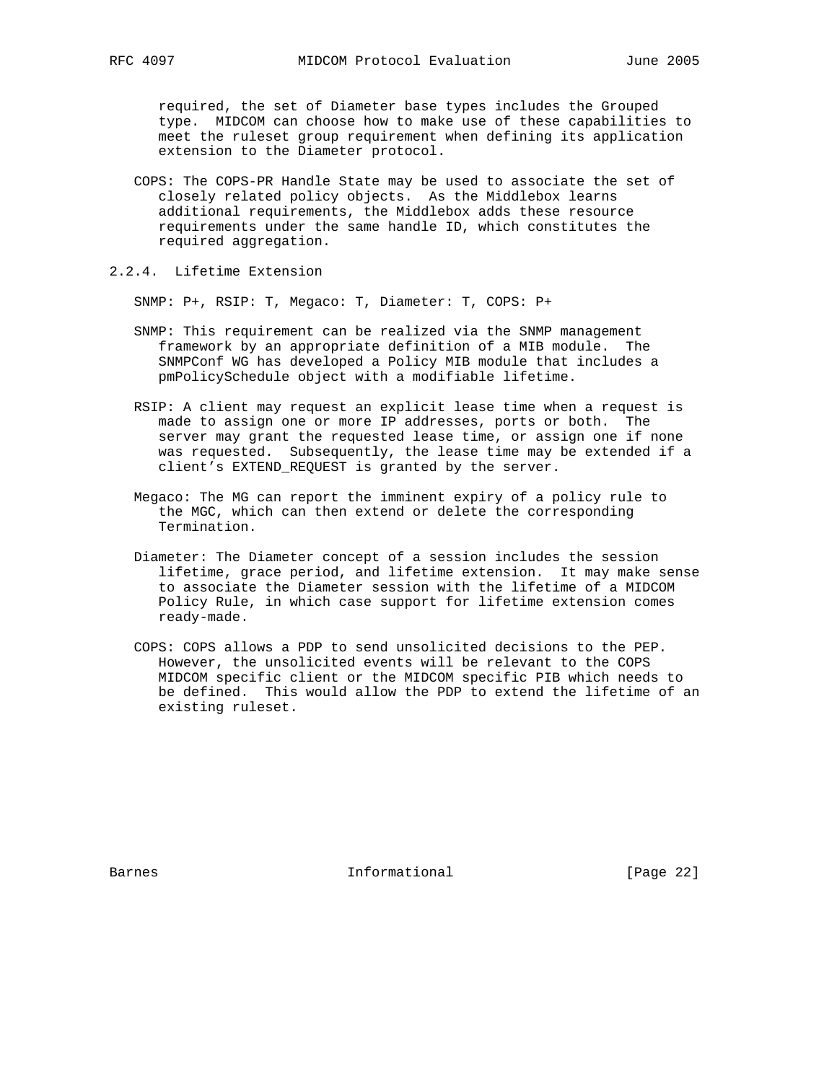required, the set of Diameter base types includes the Grouped type. MIDCOM can choose how to make use of these capabilities to meet the ruleset group requirement when defining its application extension to the Diameter protocol.

- COPS: The COPS-PR Handle State may be used to associate the set of closely related policy objects. As the Middlebox learns additional requirements, the Middlebox adds these resource requirements under the same handle ID, which constitutes the required aggregation.
- 2.2.4. Lifetime Extension

SNMP: P+, RSIP: T, Megaco: T, Diameter: T, COPS: P+

- SNMP: This requirement can be realized via the SNMP management framework by an appropriate definition of a MIB module. The SNMPConf WG has developed a Policy MIB module that includes a pmPolicySchedule object with a modifiable lifetime.
- RSIP: A client may request an explicit lease time when a request is made to assign one or more IP addresses, ports or both. The server may grant the requested lease time, or assign one if none was requested. Subsequently, the lease time may be extended if a client's EXTEND\_REQUEST is granted by the server.
- Megaco: The MG can report the imminent expiry of a policy rule to the MGC, which can then extend or delete the corresponding Termination.
- Diameter: The Diameter concept of a session includes the session lifetime, grace period, and lifetime extension. It may make sense to associate the Diameter session with the lifetime of a MIDCOM Policy Rule, in which case support for lifetime extension comes ready-made.
- COPS: COPS allows a PDP to send unsolicited decisions to the PEP. However, the unsolicited events will be relevant to the COPS MIDCOM specific client or the MIDCOM specific PIB which needs to be defined. This would allow the PDP to extend the lifetime of an existing ruleset.

Barnes **Informational Informational** [Page 22]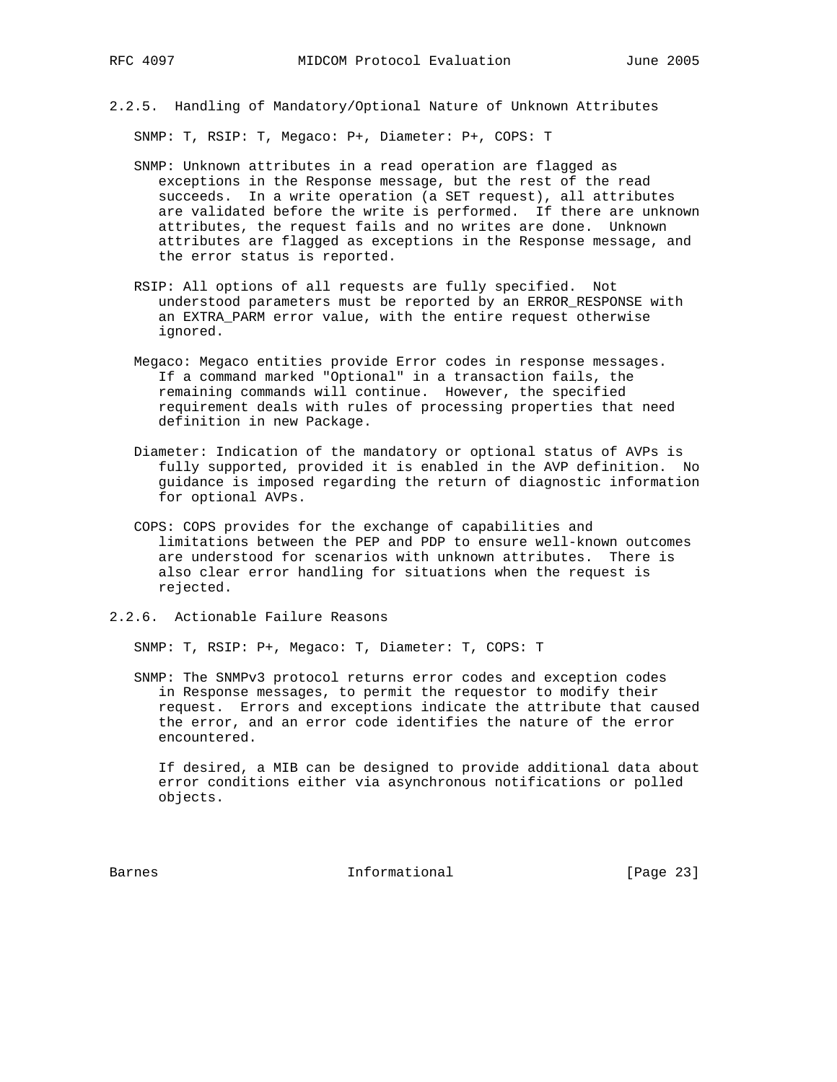2.2.5. Handling of Mandatory/Optional Nature of Unknown Attributes

SNMP: T, RSIP: T, Megaco: P+, Diameter: P+, COPS: T

- SNMP: Unknown attributes in a read operation are flagged as exceptions in the Response message, but the rest of the read succeeds. In a write operation (a SET request), all attributes are validated before the write is performed. If there are unknown attributes, the request fails and no writes are done. Unknown attributes are flagged as exceptions in the Response message, and the error status is reported.
- RSIP: All options of all requests are fully specified. Not understood parameters must be reported by an ERROR\_RESPONSE with an EXTRA\_PARM error value, with the entire request otherwise ignored.
- Megaco: Megaco entities provide Error codes in response messages. If a command marked "Optional" in a transaction fails, the remaining commands will continue. However, the specified requirement deals with rules of processing properties that need definition in new Package.
- Diameter: Indication of the mandatory or optional status of AVPs is fully supported, provided it is enabled in the AVP definition. No guidance is imposed regarding the return of diagnostic information for optional AVPs.
- COPS: COPS provides for the exchange of capabilities and limitations between the PEP and PDP to ensure well-known outcomes are understood for scenarios with unknown attributes. There is also clear error handling for situations when the request is rejected.
- 2.2.6. Actionable Failure Reasons

SNMP: T, RSIP: P+, Megaco: T, Diameter: T, COPS: T

 SNMP: The SNMPv3 protocol returns error codes and exception codes in Response messages, to permit the requestor to modify their request. Errors and exceptions indicate the attribute that caused the error, and an error code identifies the nature of the error encountered.

 If desired, a MIB can be designed to provide additional data about error conditions either via asynchronous notifications or polled objects.

Barnes **Informational Informational** [Page 23]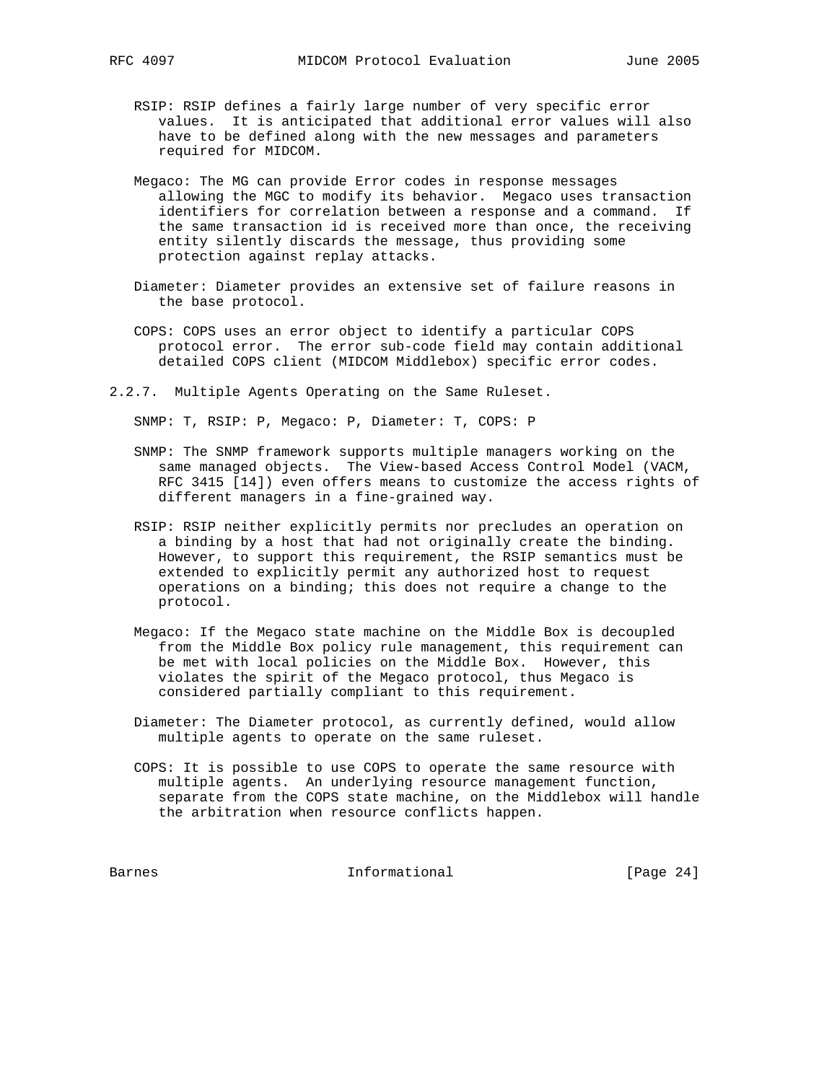- RSIP: RSIP defines a fairly large number of very specific error values. It is anticipated that additional error values will also have to be defined along with the new messages and parameters required for MIDCOM.
- Megaco: The MG can provide Error codes in response messages allowing the MGC to modify its behavior. Megaco uses transaction identifiers for correlation between a response and a command. If the same transaction id is received more than once, the receiving entity silently discards the message, thus providing some protection against replay attacks.
- Diameter: Diameter provides an extensive set of failure reasons in the base protocol.
- COPS: COPS uses an error object to identify a particular COPS protocol error. The error sub-code field may contain additional detailed COPS client (MIDCOM Middlebox) specific error codes.
- 2.2.7. Multiple Agents Operating on the Same Ruleset.

SNMP: T, RSIP: P, Megaco: P, Diameter: T, COPS: P

- SNMP: The SNMP framework supports multiple managers working on the same managed objects. The View-based Access Control Model (VACM, RFC 3415 [14]) even offers means to customize the access rights of different managers in a fine-grained way.
- RSIP: RSIP neither explicitly permits nor precludes an operation on a binding by a host that had not originally create the binding. However, to support this requirement, the RSIP semantics must be extended to explicitly permit any authorized host to request operations on a binding; this does not require a change to the protocol.
- Megaco: If the Megaco state machine on the Middle Box is decoupled from the Middle Box policy rule management, this requirement can be met with local policies on the Middle Box. However, this violates the spirit of the Megaco protocol, thus Megaco is considered partially compliant to this requirement.
- Diameter: The Diameter protocol, as currently defined, would allow multiple agents to operate on the same ruleset.
- COPS: It is possible to use COPS to operate the same resource with multiple agents. An underlying resource management function, separate from the COPS state machine, on the Middlebox will handle the arbitration when resource conflicts happen.

Barnes 10 Informational [Page 24]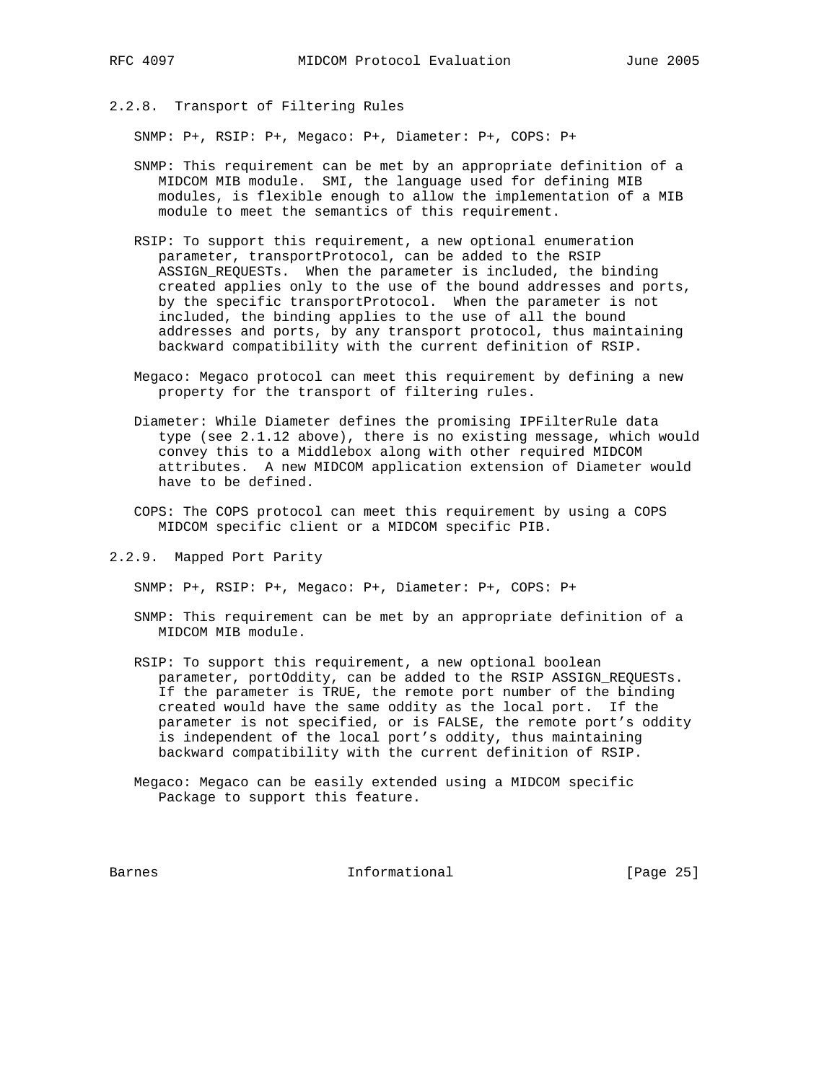# 2.2.8. Transport of Filtering Rules

SNMP: P+, RSIP: P+, Megaco: P+, Diameter: P+, COPS: P+

- SNMP: This requirement can be met by an appropriate definition of a MIDCOM MIB module. SMI, the language used for defining MIB modules, is flexible enough to allow the implementation of a MIB module to meet the semantics of this requirement.
- RSIP: To support this requirement, a new optional enumeration parameter, transportProtocol, can be added to the RSIP ASSIGN\_REQUESTs. When the parameter is included, the binding created applies only to the use of the bound addresses and ports, by the specific transportProtocol. When the parameter is not included, the binding applies to the use of all the bound addresses and ports, by any transport protocol, thus maintaining backward compatibility with the current definition of RSIP.
- Megaco: Megaco protocol can meet this requirement by defining a new property for the transport of filtering rules.
- Diameter: While Diameter defines the promising IPFilterRule data type (see 2.1.12 above), there is no existing message, which would convey this to a Middlebox along with other required MIDCOM attributes. A new MIDCOM application extension of Diameter would have to be defined.
- COPS: The COPS protocol can meet this requirement by using a COPS MIDCOM specific client or a MIDCOM specific PIB.
- 2.2.9. Mapped Port Parity

SNMP: P+, RSIP: P+, Megaco: P+, Diameter: P+, COPS: P+

- SNMP: This requirement can be met by an appropriate definition of a MIDCOM MIB module.
- RSIP: To support this requirement, a new optional boolean parameter, portOddity, can be added to the RSIP ASSIGN\_REQUESTs. If the parameter is TRUE, the remote port number of the binding created would have the same oddity as the local port. If the parameter is not specified, or is FALSE, the remote port's oddity is independent of the local port's oddity, thus maintaining backward compatibility with the current definition of RSIP.
- Megaco: Megaco can be easily extended using a MIDCOM specific Package to support this feature.

Barnes **Informational Informational** [Page 25]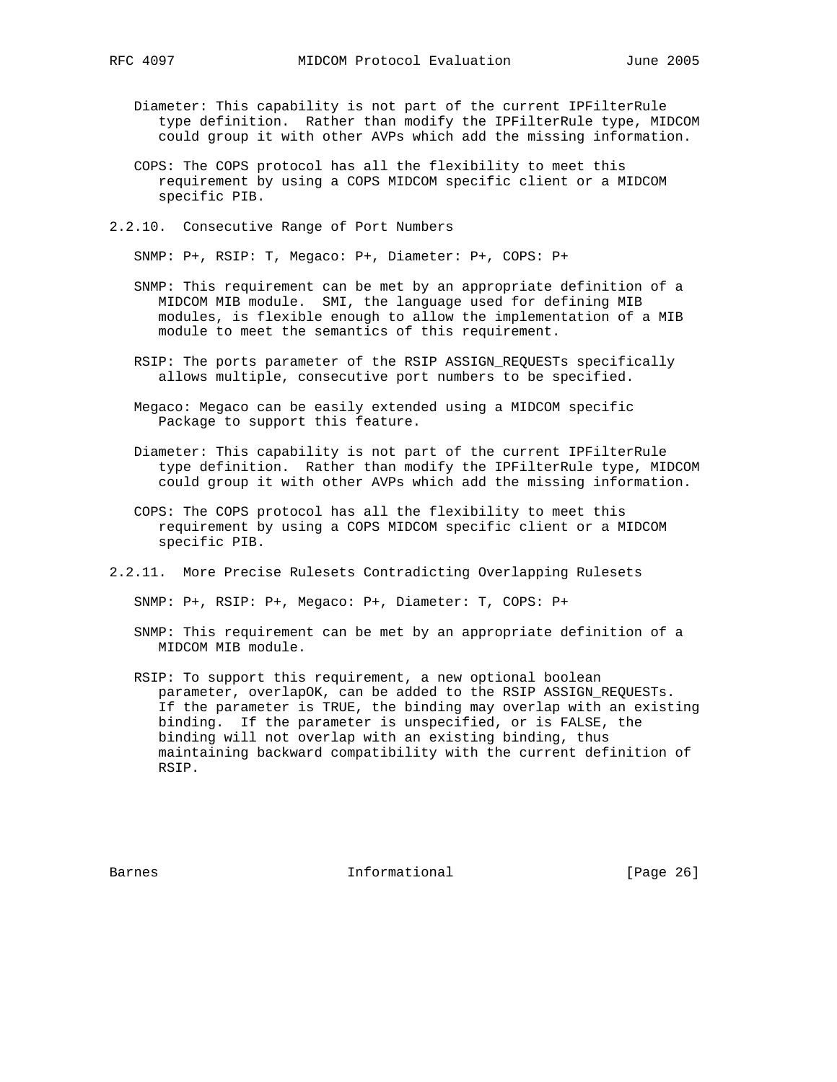- Diameter: This capability is not part of the current IPFilterRule type definition. Rather than modify the IPFilterRule type, MIDCOM could group it with other AVPs which add the missing information.
- COPS: The COPS protocol has all the flexibility to meet this requirement by using a COPS MIDCOM specific client or a MIDCOM specific PIB.
- 2.2.10. Consecutive Range of Port Numbers

SNMP: P+, RSIP: T, Megaco: P+, Diameter: P+, COPS: P+

- SNMP: This requirement can be met by an appropriate definition of a MIDCOM MIB module. SMI, the language used for defining MIB modules, is flexible enough to allow the implementation of a MIB module to meet the semantics of this requirement.
- RSIP: The ports parameter of the RSIP ASSIGN\_REQUESTs specifically allows multiple, consecutive port numbers to be specified.
- Megaco: Megaco can be easily extended using a MIDCOM specific Package to support this feature.
- Diameter: This capability is not part of the current IPFilterRule type definition. Rather than modify the IPFilterRule type, MIDCOM could group it with other AVPs which add the missing information.
- COPS: The COPS protocol has all the flexibility to meet this requirement by using a COPS MIDCOM specific client or a MIDCOM specific PIB.
- 2.2.11. More Precise Rulesets Contradicting Overlapping Rulesets

SNMP: P+, RSIP: P+, Megaco: P+, Diameter: T, COPS: P+

- SNMP: This requirement can be met by an appropriate definition of a MIDCOM MIB module.
- RSIP: To support this requirement, a new optional boolean parameter, overlapOK, can be added to the RSIP ASSIGN\_REQUESTs. If the parameter is TRUE, the binding may overlap with an existing binding. If the parameter is unspecified, or is FALSE, the binding will not overlap with an existing binding, thus maintaining backward compatibility with the current definition of RSIP.

Barnes **Informational Informational** [Page 26]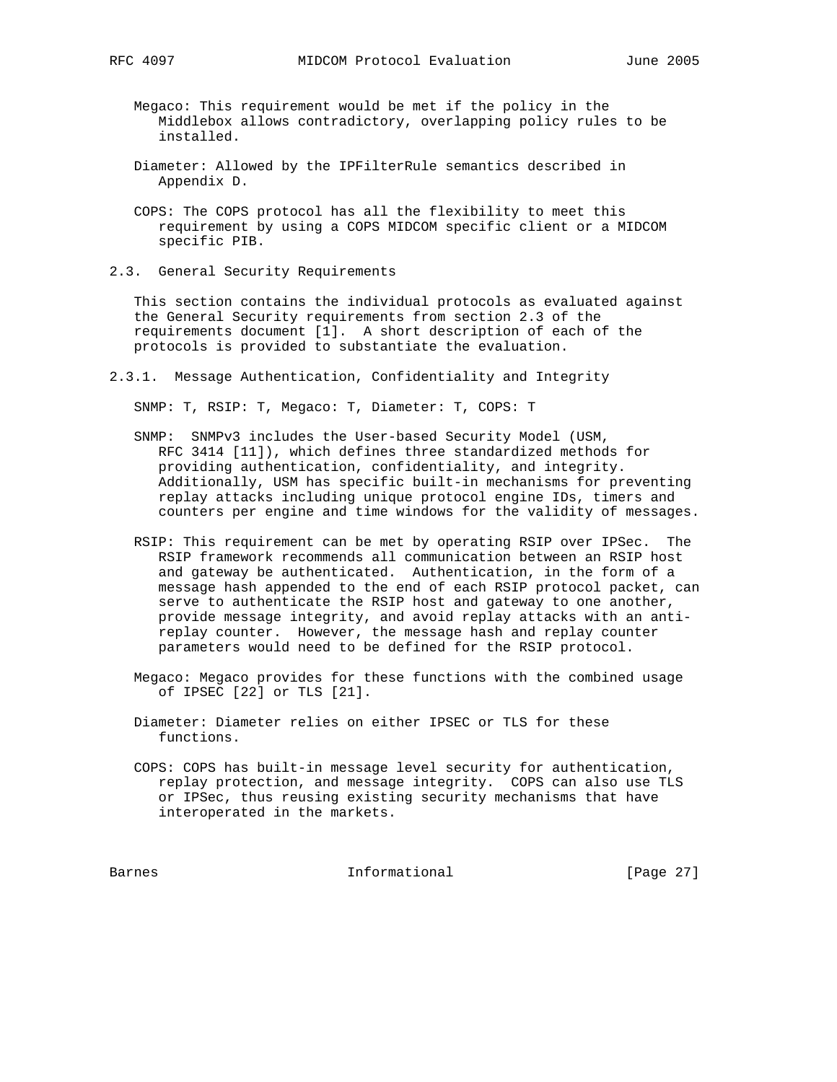Megaco: This requirement would be met if the policy in the Middlebox allows contradictory, overlapping policy rules to be installed.

- Diameter: Allowed by the IPFilterRule semantics described in Appendix D.
- COPS: The COPS protocol has all the flexibility to meet this requirement by using a COPS MIDCOM specific client or a MIDCOM specific PIB.
- 2.3. General Security Requirements

 This section contains the individual protocols as evaluated against the General Security requirements from section 2.3 of the requirements document [1]. A short description of each of the protocols is provided to substantiate the evaluation.

2.3.1. Message Authentication, Confidentiality and Integrity

SNMP: T, RSIP: T, Megaco: T, Diameter: T, COPS: T

- SNMP: SNMPv3 includes the User-based Security Model (USM, RFC 3414 [11]), which defines three standardized methods for providing authentication, confidentiality, and integrity. Additionally, USM has specific built-in mechanisms for preventing replay attacks including unique protocol engine IDs, timers and counters per engine and time windows for the validity of messages.
- RSIP: This requirement can be met by operating RSIP over IPSec. The RSIP framework recommends all communication between an RSIP host and gateway be authenticated. Authentication, in the form of a message hash appended to the end of each RSIP protocol packet, can serve to authenticate the RSIP host and gateway to one another, provide message integrity, and avoid replay attacks with an anti replay counter. However, the message hash and replay counter parameters would need to be defined for the RSIP protocol.
- Megaco: Megaco provides for these functions with the combined usage of IPSEC [22] or TLS [21].
- Diameter: Diameter relies on either IPSEC or TLS for these functions.
- COPS: COPS has built-in message level security for authentication, replay protection, and message integrity. COPS can also use TLS or IPSec, thus reusing existing security mechanisms that have interoperated in the markets.

Barnes **Informational Informational** [Page 27]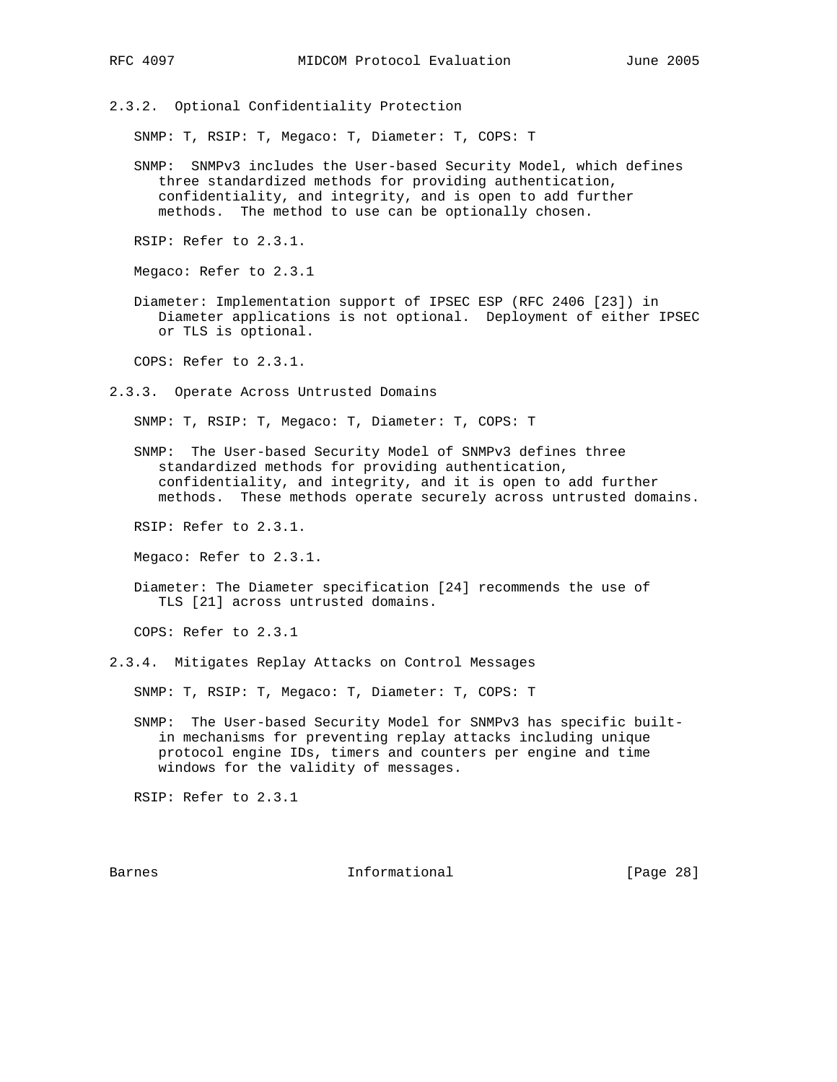2.3.2. Optional Confidentiality Protection

SNMP: T, RSIP: T, Megaco: T, Diameter: T, COPS: T

 SNMP: SNMPv3 includes the User-based Security Model, which defines three standardized methods for providing authentication, confidentiality, and integrity, and is open to add further methods. The method to use can be optionally chosen.

RSIP: Refer to 2.3.1.

Megaco: Refer to 2.3.1

 Diameter: Implementation support of IPSEC ESP (RFC 2406 [23]) in Diameter applications is not optional. Deployment of either IPSEC or TLS is optional.

COPS: Refer to 2.3.1.

2.3.3. Operate Across Untrusted Domains

SNMP: T, RSIP: T, Megaco: T, Diameter: T, COPS: T

 SNMP: The User-based Security Model of SNMPv3 defines three standardized methods for providing authentication, confidentiality, and integrity, and it is open to add further methods. These methods operate securely across untrusted domains.

RSIP: Refer to 2.3.1.

Megaco: Refer to 2.3.1.

 Diameter: The Diameter specification [24] recommends the use of TLS [21] across untrusted domains.

COPS: Refer to 2.3.1

2.3.4. Mitigates Replay Attacks on Control Messages

SNMP: T, RSIP: T, Megaco: T, Diameter: T, COPS: T

 SNMP: The User-based Security Model for SNMPv3 has specific built in mechanisms for preventing replay attacks including unique protocol engine IDs, timers and counters per engine and time windows for the validity of messages.

RSIP: Refer to 2.3.1

Barnes **Informational Informational** [Page 28]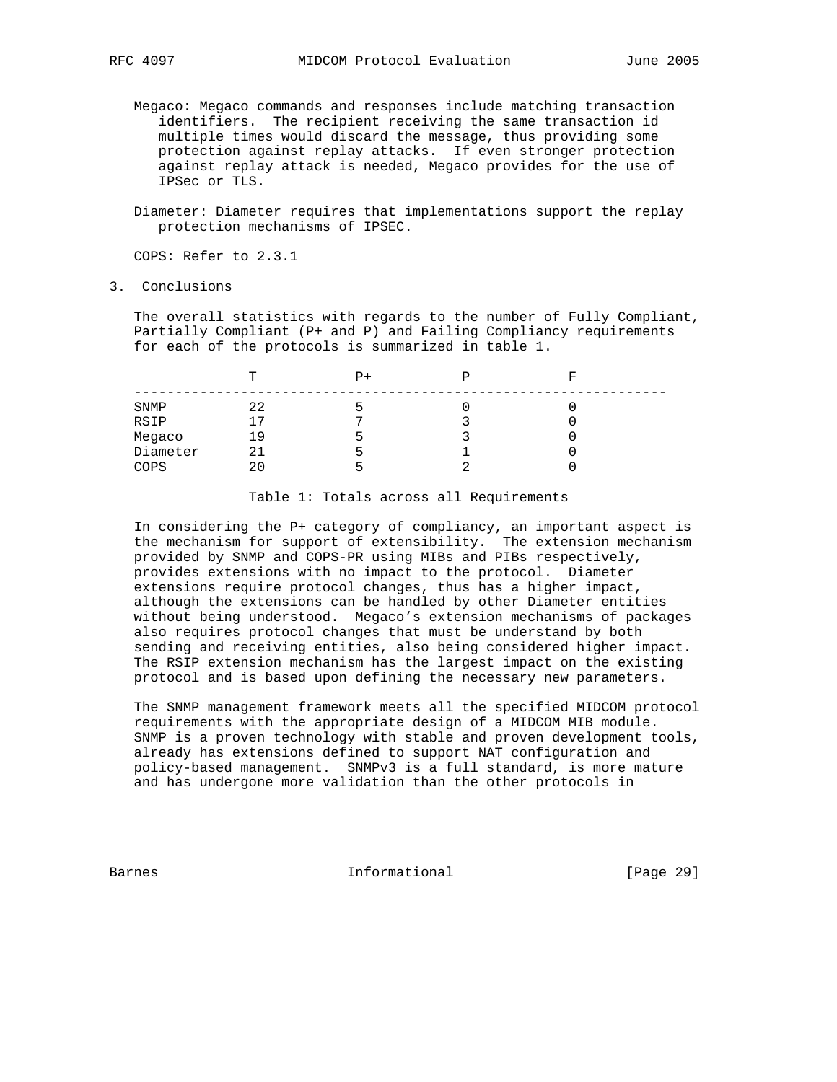- Megaco: Megaco commands and responses include matching transaction identifiers. The recipient receiving the same transaction id multiple times would discard the message, thus providing some protection against replay attacks. If even stronger protection against replay attack is needed, Megaco provides for the use of IPSec or TLS.
- Diameter: Diameter requires that implementations support the replay protection mechanisms of IPSEC.

COPS: Refer to 2.3.1

3. Conclusions

 The overall statistics with regards to the number of Fully Compliant, Partially Compliant (P+ and P) and Failing Compliancy requirements for each of the protocols is summarized in table 1.

|          | m  | P+ | R |
|----------|----|----|---|
| SNMP     | 22 |    | u |
| RSIP     | 17 |    |   |
| Megaco   | 19 | ∽  |   |
| Diameter | 21 |    |   |
| COPS     | 20 |    |   |

Table 1: Totals across all Requirements

 In considering the P+ category of compliancy, an important aspect is the mechanism for support of extensibility. The extension mechanism provided by SNMP and COPS-PR using MIBs and PIBs respectively, provides extensions with no impact to the protocol. Diameter extensions require protocol changes, thus has a higher impact, although the extensions can be handled by other Diameter entities without being understood. Megaco's extension mechanisms of packages also requires protocol changes that must be understand by both sending and receiving entities, also being considered higher impact. The RSIP extension mechanism has the largest impact on the existing protocol and is based upon defining the necessary new parameters.

 The SNMP management framework meets all the specified MIDCOM protocol requirements with the appropriate design of a MIDCOM MIB module. SNMP is a proven technology with stable and proven development tools, already has extensions defined to support NAT configuration and policy-based management. SNMPv3 is a full standard, is more mature and has undergone more validation than the other protocols in

Barnes **Informational Informational** [Page 29]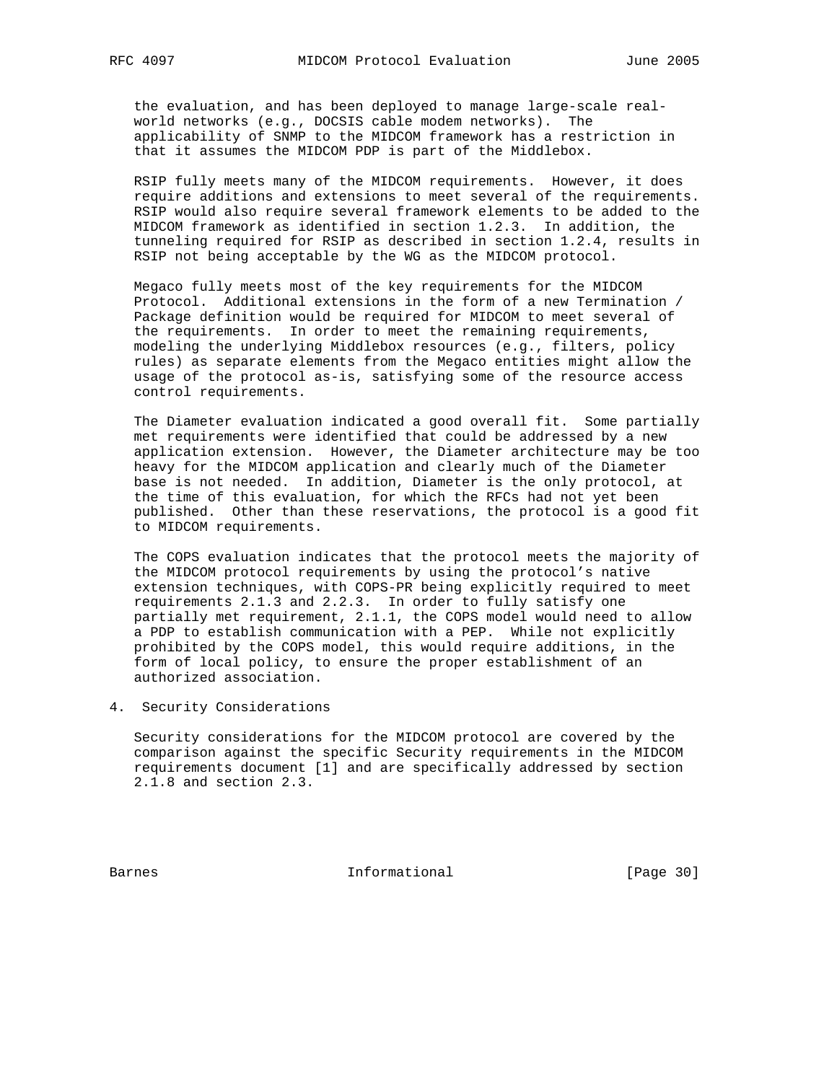the evaluation, and has been deployed to manage large-scale real world networks (e.g., DOCSIS cable modem networks). The applicability of SNMP to the MIDCOM framework has a restriction in that it assumes the MIDCOM PDP is part of the Middlebox.

 RSIP fully meets many of the MIDCOM requirements. However, it does require additions and extensions to meet several of the requirements. RSIP would also require several framework elements to be added to the MIDCOM framework as identified in section 1.2.3. In addition, the tunneling required for RSIP as described in section 1.2.4, results in RSIP not being acceptable by the WG as the MIDCOM protocol.

 Megaco fully meets most of the key requirements for the MIDCOM Protocol. Additional extensions in the form of a new Termination / Package definition would be required for MIDCOM to meet several of the requirements. In order to meet the remaining requirements, modeling the underlying Middlebox resources (e.g., filters, policy rules) as separate elements from the Megaco entities might allow the usage of the protocol as-is, satisfying some of the resource access control requirements.

 The Diameter evaluation indicated a good overall fit. Some partially met requirements were identified that could be addressed by a new application extension. However, the Diameter architecture may be too heavy for the MIDCOM application and clearly much of the Diameter base is not needed. In addition, Diameter is the only protocol, at the time of this evaluation, for which the RFCs had not yet been published. Other than these reservations, the protocol is a good fit to MIDCOM requirements.

 The COPS evaluation indicates that the protocol meets the majority of the MIDCOM protocol requirements by using the protocol's native extension techniques, with COPS-PR being explicitly required to meet requirements 2.1.3 and 2.2.3. In order to fully satisfy one partially met requirement, 2.1.1, the COPS model would need to allow a PDP to establish communication with a PEP. While not explicitly prohibited by the COPS model, this would require additions, in the form of local policy, to ensure the proper establishment of an authorized association.

4. Security Considerations

 Security considerations for the MIDCOM protocol are covered by the comparison against the specific Security requirements in the MIDCOM requirements document [1] and are specifically addressed by section 2.1.8 and section 2.3.

Barnes **Informational Informational** [Page 30]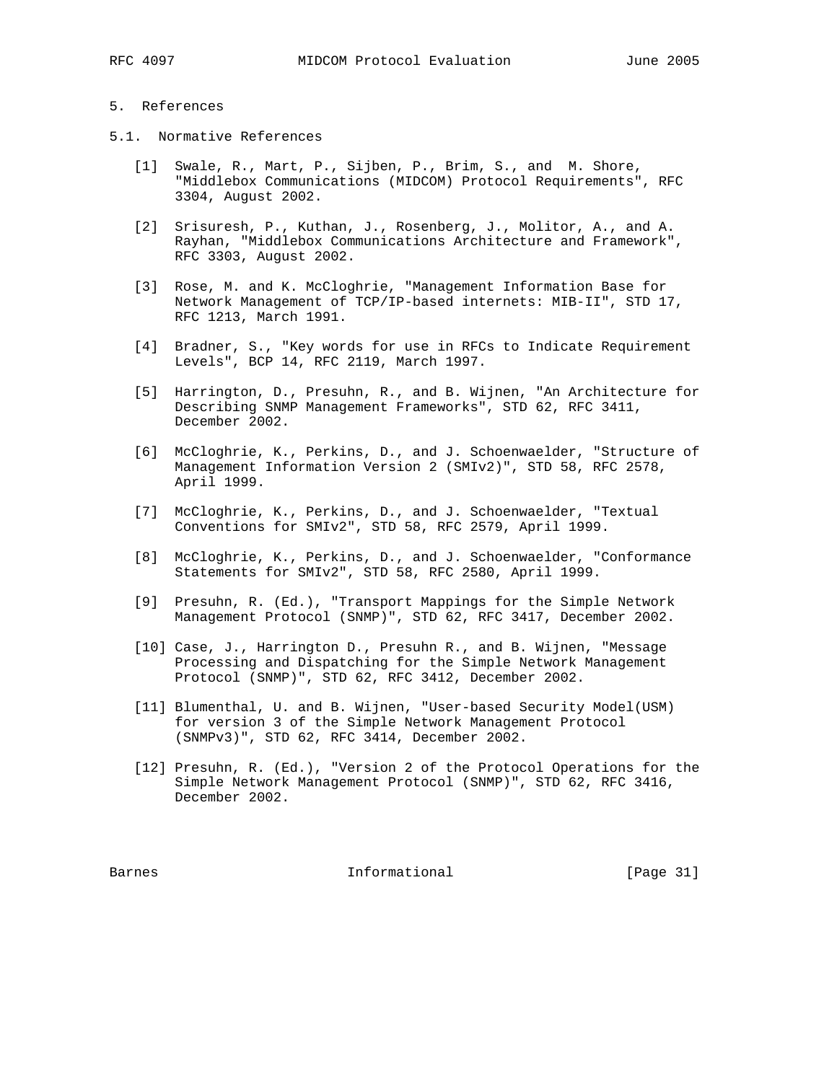## 5. References

- 5.1. Normative References
	- [1] Swale, R., Mart, P., Sijben, P., Brim, S., and M. Shore, "Middlebox Communications (MIDCOM) Protocol Requirements", RFC 3304, August 2002.
	- [2] Srisuresh, P., Kuthan, J., Rosenberg, J., Molitor, A., and A. Rayhan, "Middlebox Communications Architecture and Framework", RFC 3303, August 2002.
	- [3] Rose, M. and K. McCloghrie, "Management Information Base for Network Management of TCP/IP-based internets: MIB-II", STD 17, RFC 1213, March 1991.
	- [4] Bradner, S., "Key words for use in RFCs to Indicate Requirement Levels", BCP 14, RFC 2119, March 1997.
	- [5] Harrington, D., Presuhn, R., and B. Wijnen, "An Architecture for Describing SNMP Management Frameworks", STD 62, RFC 3411, December 2002.
	- [6] McCloghrie, K., Perkins, D., and J. Schoenwaelder, "Structure of Management Information Version 2 (SMIv2)", STD 58, RFC 2578, April 1999.
	- [7] McCloghrie, K., Perkins, D., and J. Schoenwaelder, "Textual Conventions for SMIv2", STD 58, RFC 2579, April 1999.
	- [8] McCloghrie, K., Perkins, D., and J. Schoenwaelder, "Conformance Statements for SMIv2", STD 58, RFC 2580, April 1999.
	- [9] Presuhn, R. (Ed.), "Transport Mappings for the Simple Network Management Protocol (SNMP)", STD 62, RFC 3417, December 2002.
	- [10] Case, J., Harrington D., Presuhn R., and B. Wijnen, "Message Processing and Dispatching for the Simple Network Management Protocol (SNMP)", STD 62, RFC 3412, December 2002.
	- [11] Blumenthal, U. and B. Wijnen, "User-based Security Model(USM) for version 3 of the Simple Network Management Protocol (SNMPv3)", STD 62, RFC 3414, December 2002.
	- [12] Presuhn, R. (Ed.), "Version 2 of the Protocol Operations for the Simple Network Management Protocol (SNMP)", STD 62, RFC 3416, December 2002.

Barnes **Informational Informational** [Page 31]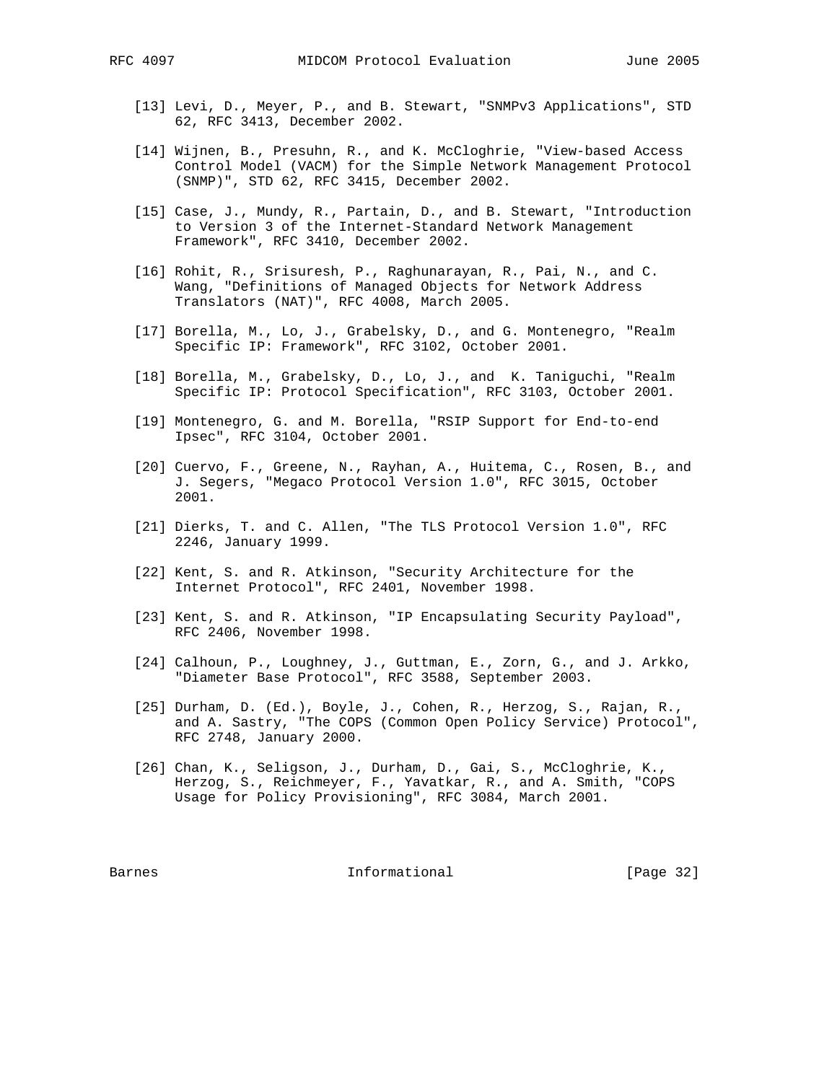- [13] Levi, D., Meyer, P., and B. Stewart, "SNMPv3 Applications", STD 62, RFC 3413, December 2002.
- [14] Wijnen, B., Presuhn, R., and K. McCloghrie, "View-based Access Control Model (VACM) for the Simple Network Management Protocol (SNMP)", STD 62, RFC 3415, December 2002.
- [15] Case, J., Mundy, R., Partain, D., and B. Stewart, "Introduction to Version 3 of the Internet-Standard Network Management Framework", RFC 3410, December 2002.
- [16] Rohit, R., Srisuresh, P., Raghunarayan, R., Pai, N., and C. Wang, "Definitions of Managed Objects for Network Address Translators (NAT)", RFC 4008, March 2005.
- [17] Borella, M., Lo, J., Grabelsky, D., and G. Montenegro, "Realm Specific IP: Framework", RFC 3102, October 2001.
- [18] Borella, M., Grabelsky, D., Lo, J., and K. Taniguchi, "Realm Specific IP: Protocol Specification", RFC 3103, October 2001.
- [19] Montenegro, G. and M. Borella, "RSIP Support for End-to-end Ipsec", RFC 3104, October 2001.
- [20] Cuervo, F., Greene, N., Rayhan, A., Huitema, C., Rosen, B., and J. Segers, "Megaco Protocol Version 1.0", RFC 3015, October 2001.
- [21] Dierks, T. and C. Allen, "The TLS Protocol Version 1.0", RFC 2246, January 1999.
- [22] Kent, S. and R. Atkinson, "Security Architecture for the Internet Protocol", RFC 2401, November 1998.
- [23] Kent, S. and R. Atkinson, "IP Encapsulating Security Payload", RFC 2406, November 1998.
- [24] Calhoun, P., Loughney, J., Guttman, E., Zorn, G., and J. Arkko, "Diameter Base Protocol", RFC 3588, September 2003.
- [25] Durham, D. (Ed.), Boyle, J., Cohen, R., Herzog, S., Rajan, R., and A. Sastry, "The COPS (Common Open Policy Service) Protocol", RFC 2748, January 2000.
- [26] Chan, K., Seligson, J., Durham, D., Gai, S., McCloghrie, K., Herzog, S., Reichmeyer, F., Yavatkar, R., and A. Smith, "COPS Usage for Policy Provisioning", RFC 3084, March 2001.

Barnes **Informational Informational** [Page 32]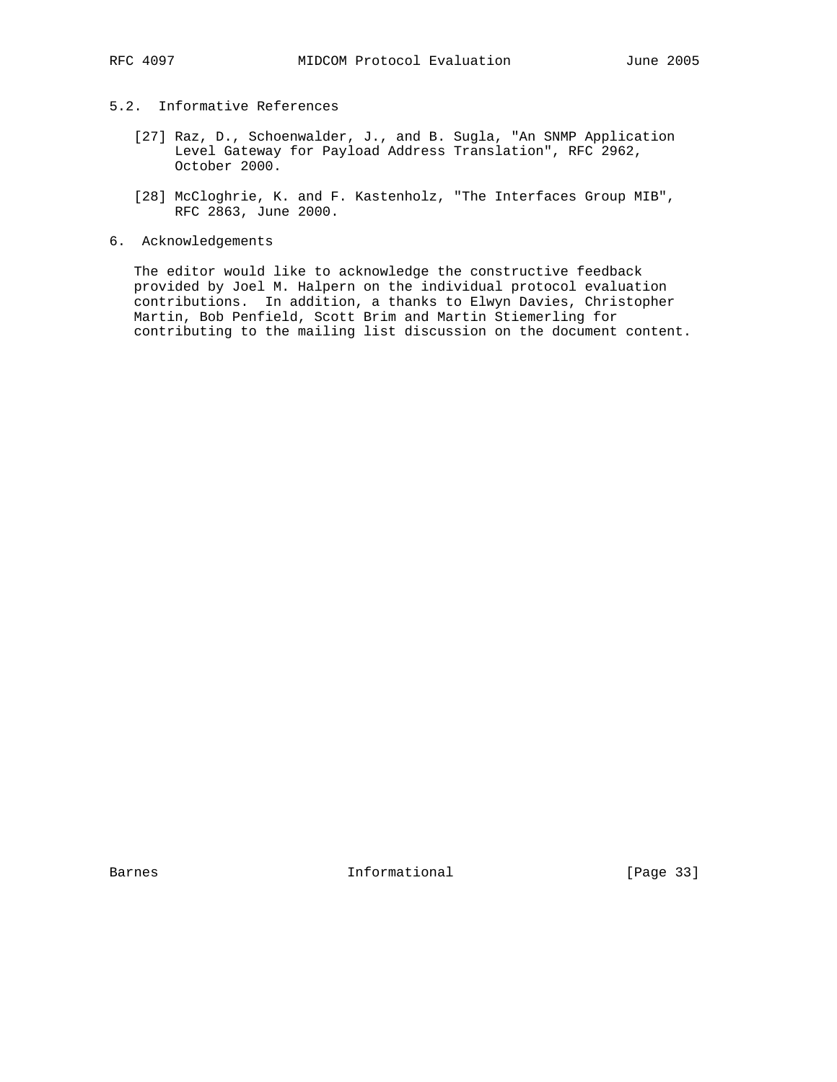# 5.2. Informative References

- [27] Raz, D., Schoenwalder, J., and B. Sugla, "An SNMP Application Level Gateway for Payload Address Translation", RFC 2962, October 2000.
- [28] McCloghrie, K. and F. Kastenholz, "The Interfaces Group MIB", RFC 2863, June 2000.
- 6. Acknowledgements

 The editor would like to acknowledge the constructive feedback provided by Joel M. Halpern on the individual protocol evaluation contributions. In addition, a thanks to Elwyn Davies, Christopher Martin, Bob Penfield, Scott Brim and Martin Stiemerling for contributing to the mailing list discussion on the document content.

Barnes 1nformational [Page 33]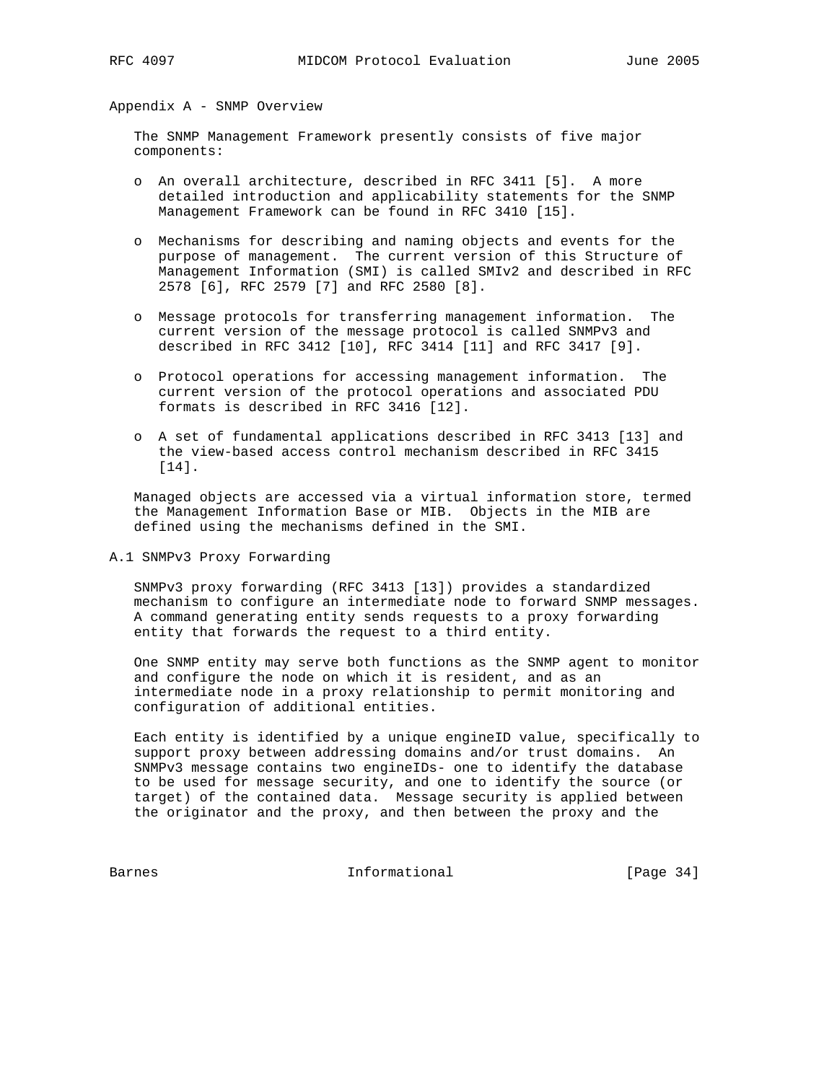### Appendix A - SNMP Overview

 The SNMP Management Framework presently consists of five major components:

- o An overall architecture, described in RFC 3411 [5]. A more detailed introduction and applicability statements for the SNMP Management Framework can be found in RFC 3410 [15].
- o Mechanisms for describing and naming objects and events for the purpose of management. The current version of this Structure of Management Information (SMI) is called SMIv2 and described in RFC 2578 [6], RFC 2579 [7] and RFC 2580 [8].
- o Message protocols for transferring management information. The current version of the message protocol is called SNMPv3 and described in RFC 3412 [10], RFC 3414 [11] and RFC 3417 [9].
- o Protocol operations for accessing management information. The current version of the protocol operations and associated PDU formats is described in RFC 3416 [12].
- o A set of fundamental applications described in RFC 3413 [13] and the view-based access control mechanism described in RFC 3415 [14].

 Managed objects are accessed via a virtual information store, termed the Management Information Base or MIB. Objects in the MIB are defined using the mechanisms defined in the SMI.

A.1 SNMPv3 Proxy Forwarding

 SNMPv3 proxy forwarding (RFC 3413 [13]) provides a standardized mechanism to configure an intermediate node to forward SNMP messages. A command generating entity sends requests to a proxy forwarding entity that forwards the request to a third entity.

 One SNMP entity may serve both functions as the SNMP agent to monitor and configure the node on which it is resident, and as an intermediate node in a proxy relationship to permit monitoring and configuration of additional entities.

 Each entity is identified by a unique engineID value, specifically to support proxy between addressing domains and/or trust domains. An SNMPv3 message contains two engineIDs- one to identify the database to be used for message security, and one to identify the source (or target) of the contained data. Message security is applied between the originator and the proxy, and then between the proxy and the

Barnes 10 Informational [Page 34]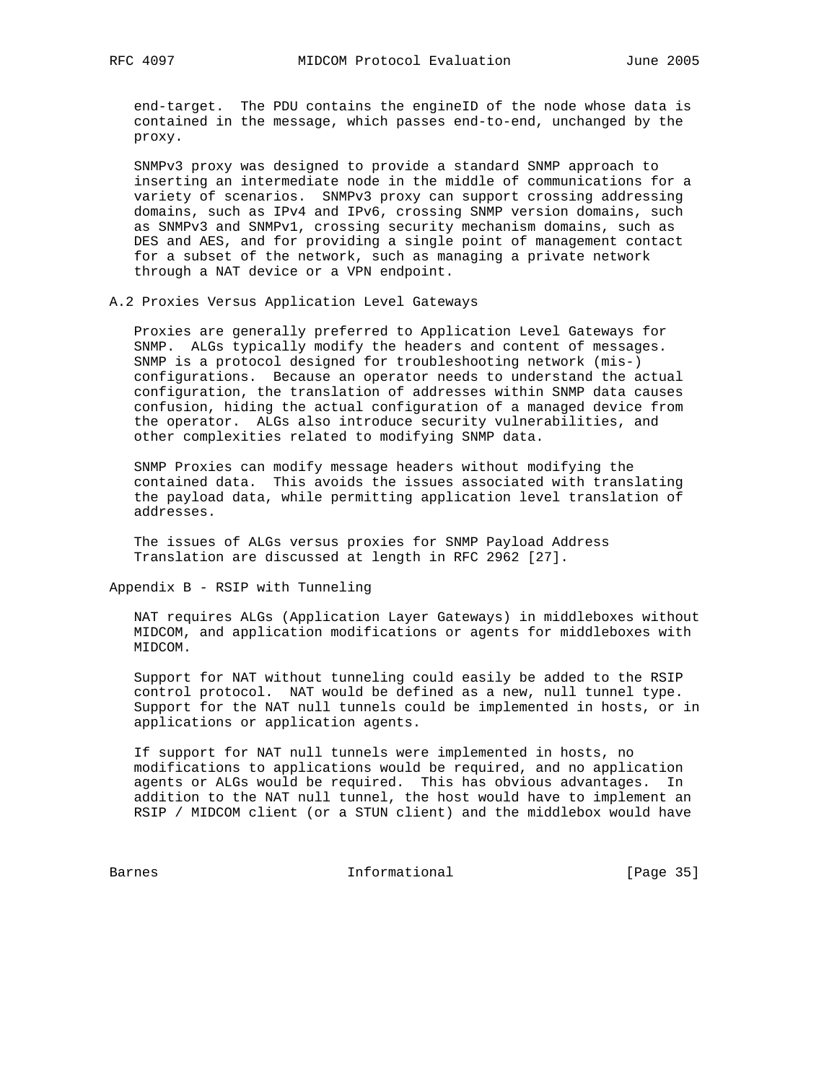end-target. The PDU contains the engineID of the node whose data is contained in the message, which passes end-to-end, unchanged by the proxy.

 SNMPv3 proxy was designed to provide a standard SNMP approach to inserting an intermediate node in the middle of communications for a variety of scenarios. SNMPv3 proxy can support crossing addressing domains, such as IPv4 and IPv6, crossing SNMP version domains, such as SNMPv3 and SNMPv1, crossing security mechanism domains, such as DES and AES, and for providing a single point of management contact for a subset of the network, such as managing a private network through a NAT device or a VPN endpoint.

A.2 Proxies Versus Application Level Gateways

 Proxies are generally preferred to Application Level Gateways for SNMP. ALGs typically modify the headers and content of messages. SNMP is a protocol designed for troubleshooting network (mis-) configurations. Because an operator needs to understand the actual configuration, the translation of addresses within SNMP data causes confusion, hiding the actual configuration of a managed device from the operator. ALGs also introduce security vulnerabilities, and other complexities related to modifying SNMP data.

 SNMP Proxies can modify message headers without modifying the contained data. This avoids the issues associated with translating the payload data, while permitting application level translation of addresses.

 The issues of ALGs versus proxies for SNMP Payload Address Translation are discussed at length in RFC 2962 [27].

Appendix B - RSIP with Tunneling

 NAT requires ALGs (Application Layer Gateways) in middleboxes without MIDCOM, and application modifications or agents for middleboxes with MIDCOM.

 Support for NAT without tunneling could easily be added to the RSIP control protocol. NAT would be defined as a new, null tunnel type. Support for the NAT null tunnels could be implemented in hosts, or in applications or application agents.

 If support for NAT null tunnels were implemented in hosts, no modifications to applications would be required, and no application agents or ALGs would be required. This has obvious advantages. In addition to the NAT null tunnel, the host would have to implement an RSIP / MIDCOM client (or a STUN client) and the middlebox would have

Barnes 10 and 100 and 100 and 100 and 100 and 100 and 100 and 100 and 100 and 100 and 100 and 100 and 100 and 1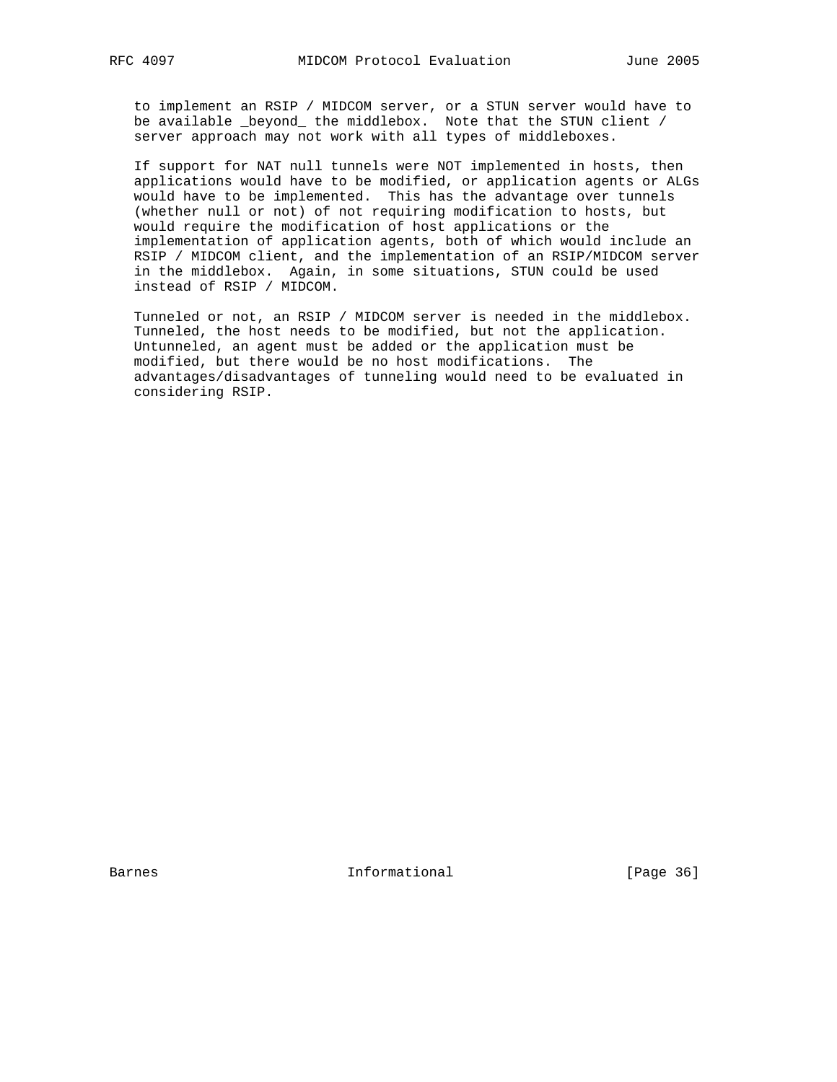to implement an RSIP / MIDCOM server, or a STUN server would have to be available \_beyond\_ the middlebox. Note that the STUN client / server approach may not work with all types of middleboxes.

 If support for NAT null tunnels were NOT implemented in hosts, then applications would have to be modified, or application agents or ALGs would have to be implemented. This has the advantage over tunnels (whether null or not) of not requiring modification to hosts, but would require the modification of host applications or the implementation of application agents, both of which would include an RSIP / MIDCOM client, and the implementation of an RSIP/MIDCOM server in the middlebox. Again, in some situations, STUN could be used instead of RSIP / MIDCOM.

 Tunneled or not, an RSIP / MIDCOM server is needed in the middlebox. Tunneled, the host needs to be modified, but not the application. Untunneled, an agent must be added or the application must be modified, but there would be no host modifications. The advantages/disadvantages of tunneling would need to be evaluated in considering RSIP.

Barnes **Informational Informational** [Page 36]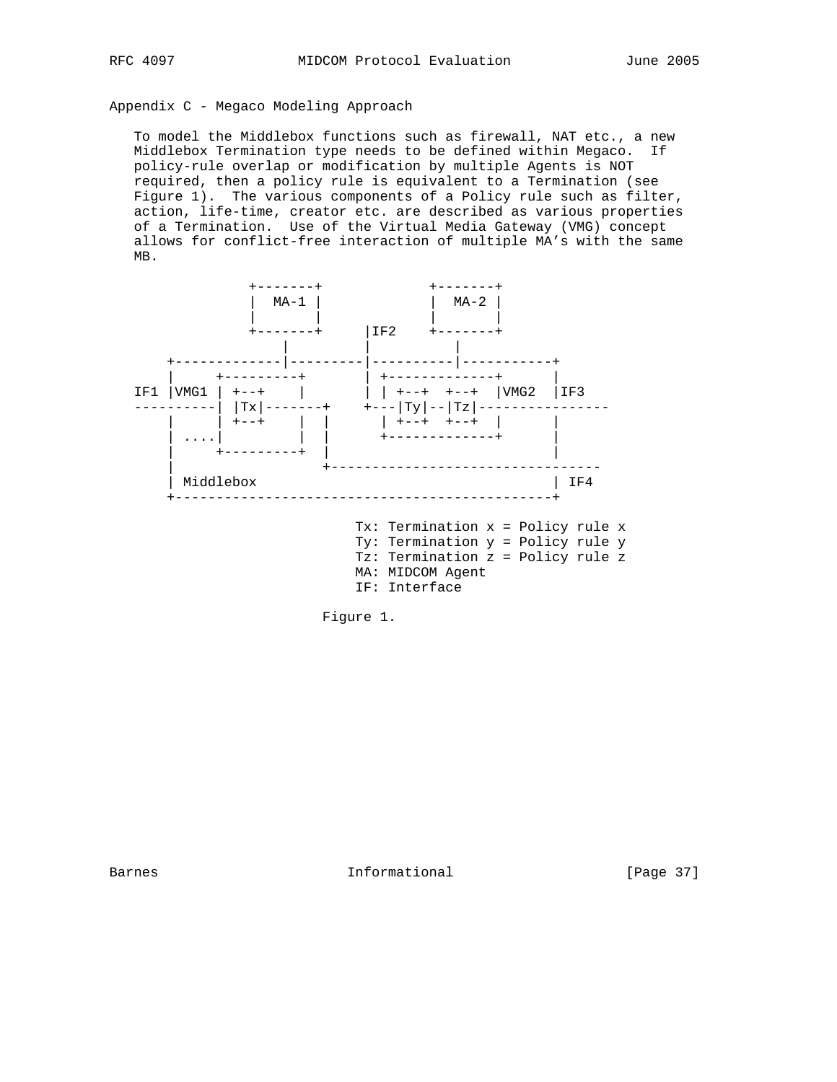## Appendix C - Megaco Modeling Approach

 To model the Middlebox functions such as firewall, NAT etc., a new Middlebox Termination type needs to be defined within Megaco. If policy-rule overlap or modification by multiple Agents is NOT required, then a policy rule is equivalent to a Termination (see Figure 1). The various components of a Policy rule such as filter, action, life-time, creator etc. are described as various properties of a Termination. Use of the Virtual Media Gateway (VMG) concept allows for conflict-free interaction of multiple MA's with the same MB.





Barnes **Informational Informational** [Page 37]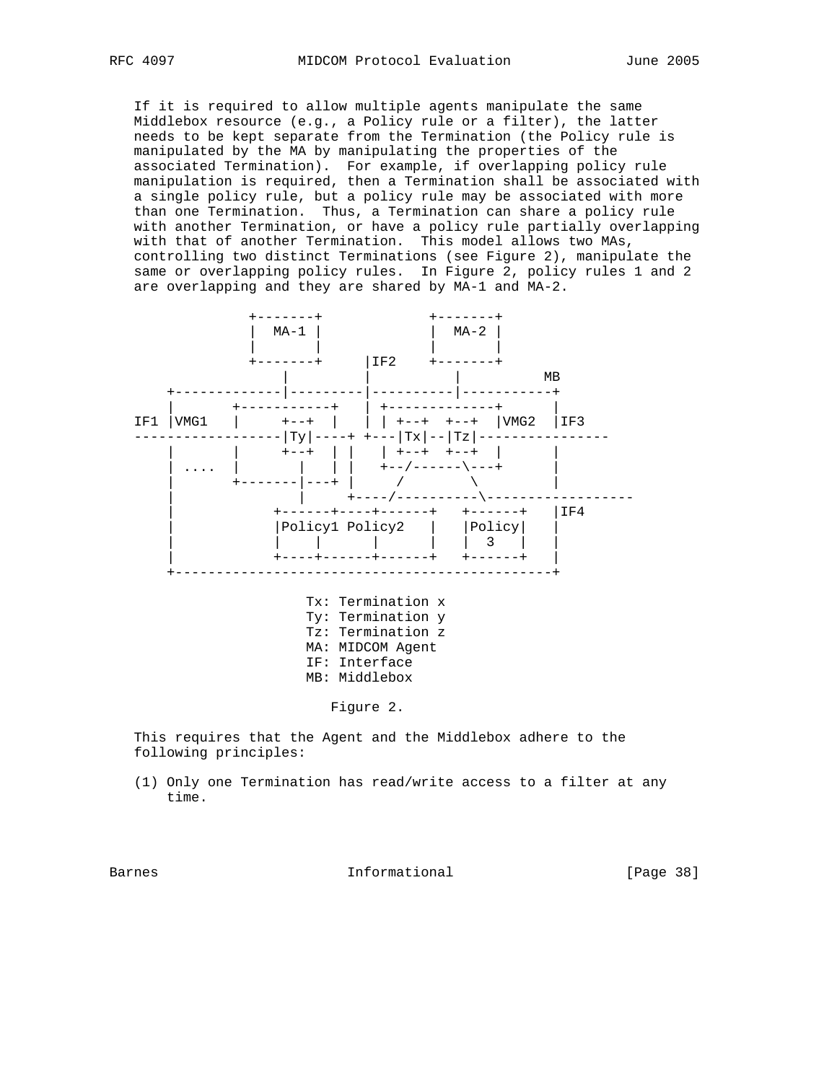If it is required to allow multiple agents manipulate the same Middlebox resource (e.g., a Policy rule or a filter), the latter needs to be kept separate from the Termination (the Policy rule is manipulated by the MA by manipulating the properties of the associated Termination). For example, if overlapping policy rule manipulation is required, then a Termination shall be associated with a single policy rule, but a policy rule may be associated with more than one Termination. Thus, a Termination can share a policy rule with another Termination, or have a policy rule partially overlapping with that of another Termination. This model allows two MAs, controlling two distinct Terminations (see Figure 2), manipulate the same or overlapping policy rules. In Figure 2, policy rules 1 and 2 are overlapping and they are shared by MA-1 and MA-2.



 This requires that the Agent and the Middlebox adhere to the following principles:

 (1) Only one Termination has read/write access to a filter at any time.

Barnes **Informational Informational** [Page 38]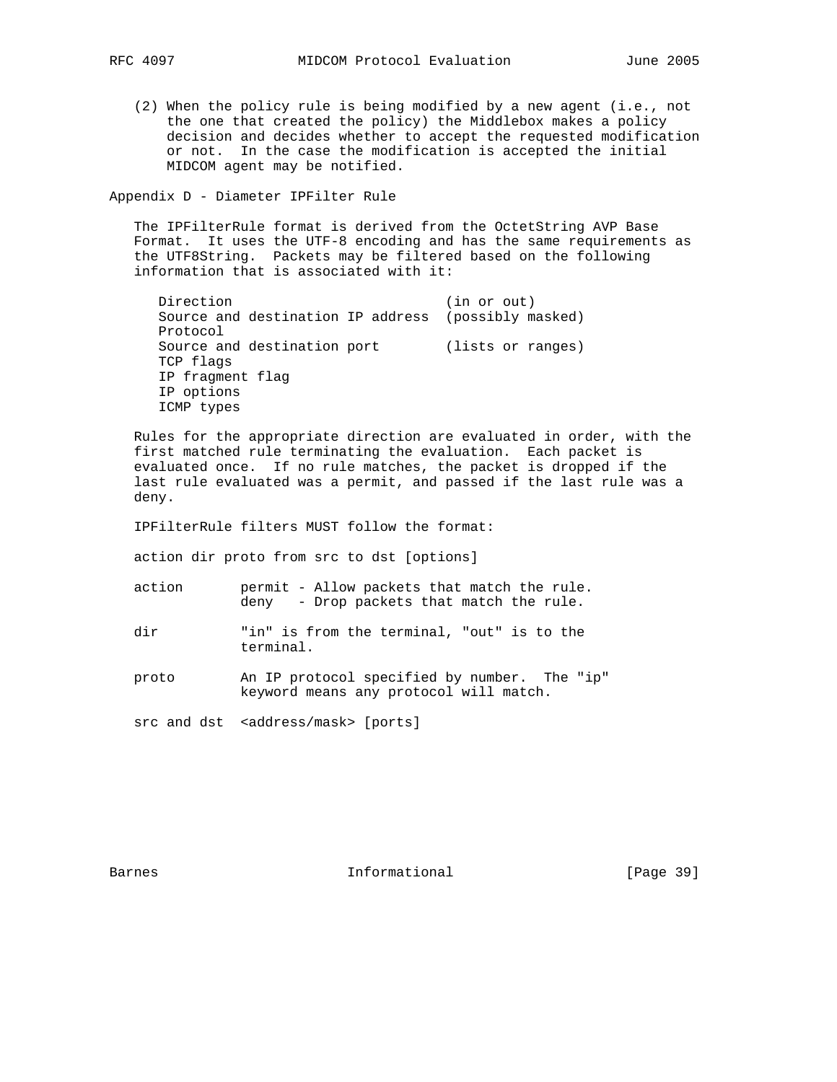(2) When the policy rule is being modified by a new agent (i.e., not the one that created the policy) the Middlebox makes a policy decision and decides whether to accept the requested modification or not. In the case the modification is accepted the initial MIDCOM agent may be notified.

Appendix D - Diameter IPFilter Rule

 The IPFilterRule format is derived from the OctetString AVP Base Format. It uses the UTF-8 encoding and has the same requirements as the UTF8String. Packets may be filtered based on the following information that is associated with it:

```
Direction (in or out)
 Source and destination IP address (possibly masked)
 Protocol
Source and destination port (lists or ranges)
 TCP flags
 IP fragment flag
 IP options
 ICMP types
```
 Rules for the appropriate direction are evaluated in order, with the first matched rule terminating the evaluation. Each packet is evaluated once. If no rule matches, the packet is dropped if the last rule evaluated was a permit, and passed if the last rule was a deny.

IPFilterRule filters MUST follow the format:

action dir proto from src to dst [options]

- action permit Allow packets that match the rule. deny - Drop packets that match the rule.
- dir Tin" is from the terminal, "out" is to the terminal.

 proto An IP protocol specified by number. The "ip" keyword means any protocol will match.

src and dst <address/mask> [ports]

Barnes **Informational Informational** [Page 39]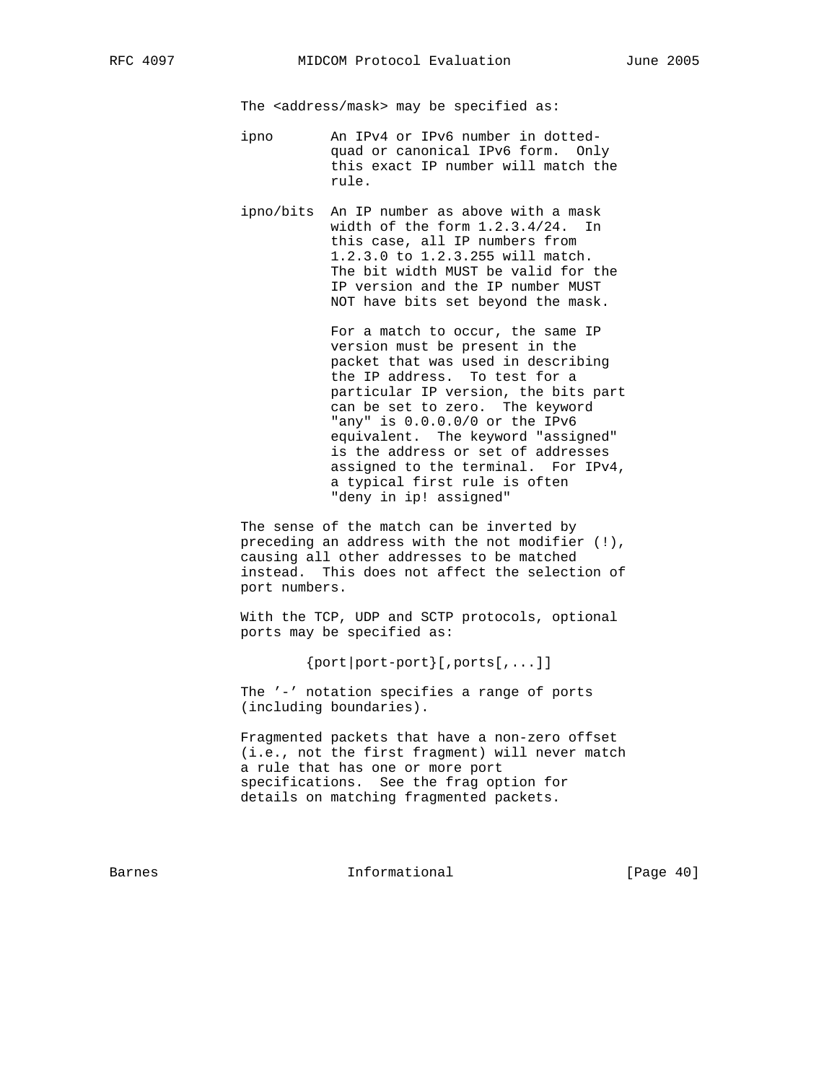The <address/mask> may be specified as:

- ipno An IPv4 or IPv6 number in dotted quad or canonical IPv6 form. Only this exact IP number will match the rule.
- ipno/bits An IP number as above with a mask width of the form 1.2.3.4/24. In this case, all IP numbers from 1.2.3.0 to 1.2.3.255 will match. The bit width MUST be valid for the IP version and the IP number MUST NOT have bits set beyond the mask.

 For a match to occur, the same IP version must be present in the packet that was used in describing the IP address. To test for a particular IP version, the bits part can be set to zero. The keyword "any" is 0.0.0.0/0 or the IPv6 equivalent. The keyword "assigned" is the address or set of addresses assigned to the terminal. For IPv4, a typical first rule is often "deny in ip! assigned"

 The sense of the match can be inverted by preceding an address with the not modifier (!), causing all other addresses to be matched instead. This does not affect the selection of port numbers.

 With the TCP, UDP and SCTP protocols, optional ports may be specified as:

 $\{port|port-port\}$ [, ports[,...]]

 The '-' notation specifies a range of ports (including boundaries).

 Fragmented packets that have a non-zero offset (i.e., not the first fragment) will never match a rule that has one or more port specifications. See the frag option for details on matching fragmented packets.

Barnes **Informational Informational** [Page 40]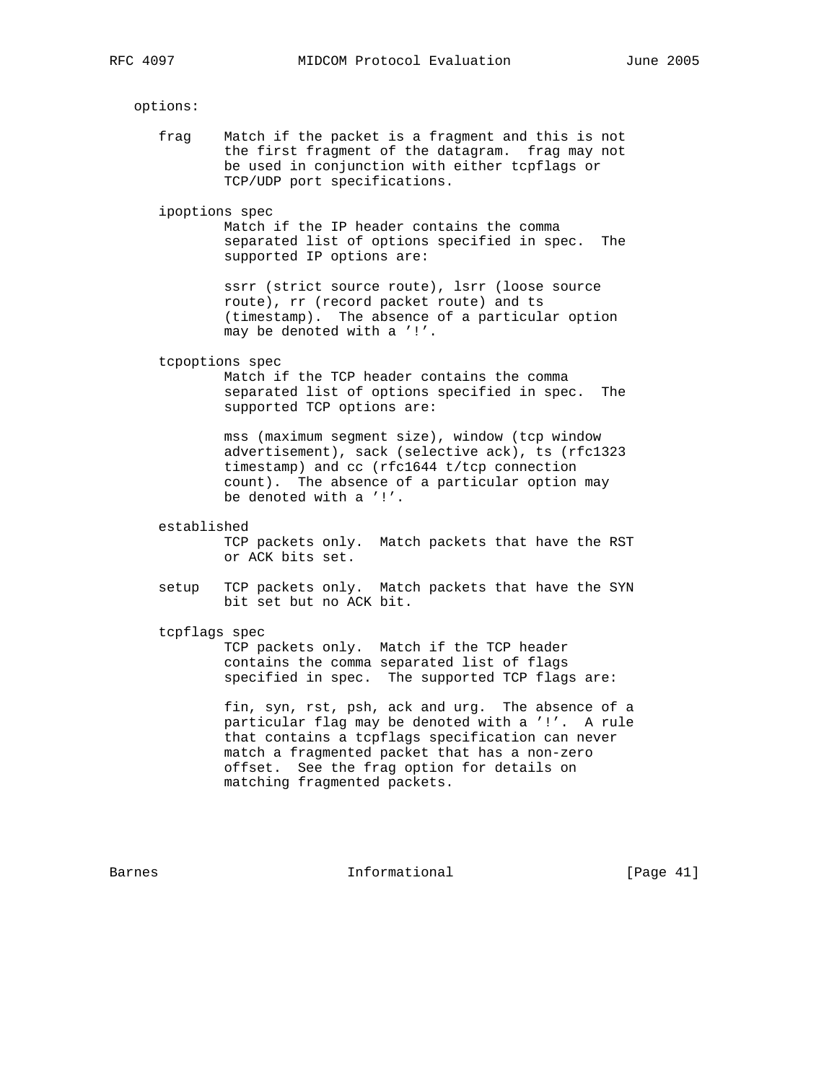options:

 frag Match if the packet is a fragment and this is not the first fragment of the datagram. frag may not be used in conjunction with either tcpflags or TCP/UDP port specifications.

ipoptions spec

 Match if the IP header contains the comma separated list of options specified in spec. The supported IP options are:

 ssrr (strict source route), lsrr (loose source route), rr (record packet route) and ts (timestamp). The absence of a particular option may be denoted with a '!'.

tcpoptions spec

 Match if the TCP header contains the comma separated list of options specified in spec. The supported TCP options are:

 mss (maximum segment size), window (tcp window advertisement), sack (selective ack), ts (rfc1323 timestamp) and cc (rfc1644 t/tcp connection count). The absence of a particular option may be denoted with a '!'.

established

 TCP packets only. Match packets that have the RST or ACK bits set.

- setup TCP packets only. Match packets that have the SYN bit set but no ACK bit.
- tcpflags spec

 TCP packets only. Match if the TCP header contains the comma separated list of flags specified in spec. The supported TCP flags are:

 fin, syn, rst, psh, ack and urg. The absence of a particular flag may be denoted with a '!'. A rule that contains a tcpflags specification can never match a fragmented packet that has a non-zero offset. See the frag option for details on matching fragmented packets.

Barnes **Informational Informational** [Page 41]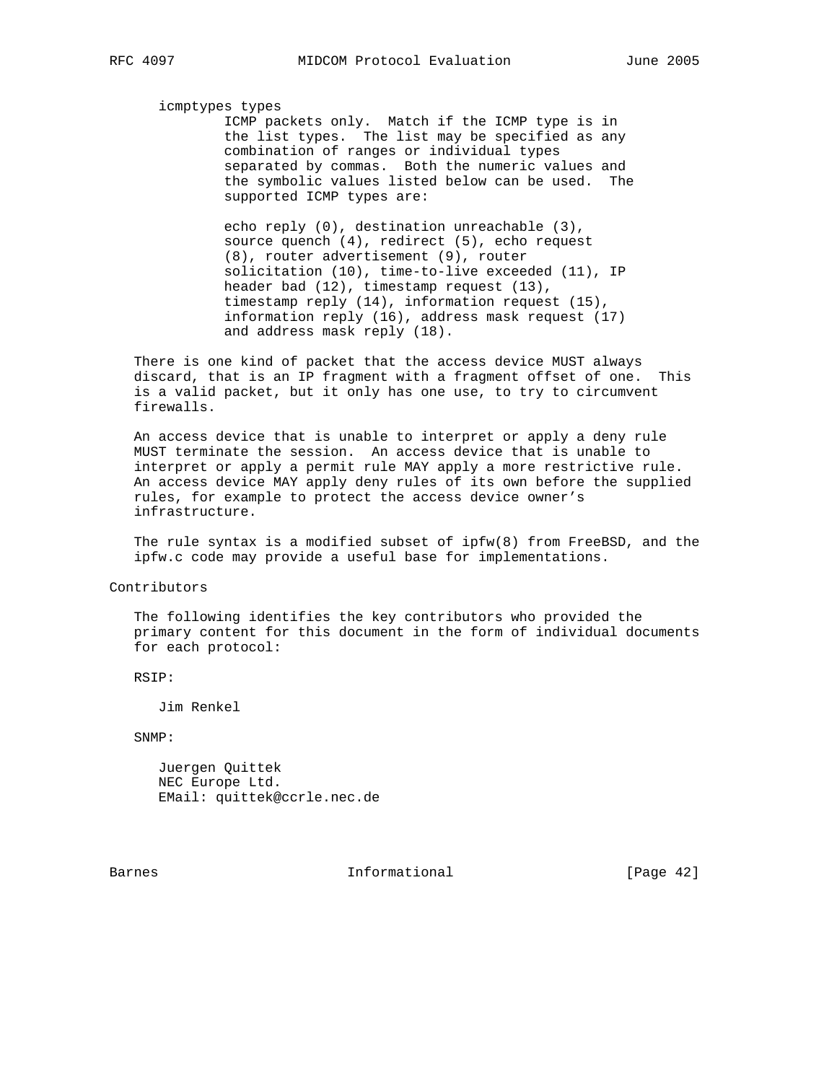#### icmptypes types

 ICMP packets only. Match if the ICMP type is in the list types. The list may be specified as any combination of ranges or individual types separated by commas. Both the numeric values and the symbolic values listed below can be used. The supported ICMP types are:

 echo reply (0), destination unreachable (3), source quench (4), redirect (5), echo request (8), router advertisement (9), router solicitation (10), time-to-live exceeded (11), IP header bad (12), timestamp request (13), timestamp reply (14), information request (15), information reply (16), address mask request (17) and address mask reply (18).

 There is one kind of packet that the access device MUST always discard, that is an IP fragment with a fragment offset of one. This is a valid packet, but it only has one use, to try to circumvent firewalls.

 An access device that is unable to interpret or apply a deny rule MUST terminate the session. An access device that is unable to interpret or apply a permit rule MAY apply a more restrictive rule. An access device MAY apply deny rules of its own before the supplied rules, for example to protect the access device owner's infrastructure.

 The rule syntax is a modified subset of ipfw(8) from FreeBSD, and the ipfw.c code may provide a useful base for implementations.

#### Contributors

 The following identifies the key contributors who provided the primary content for this document in the form of individual documents for each protocol:

RSIP:

Jim Renkel

SNMP:

 Juergen Quittek NEC Europe Ltd. EMail: quittek@ccrle.nec.de

Barnes **Informational Informational** [Page 42]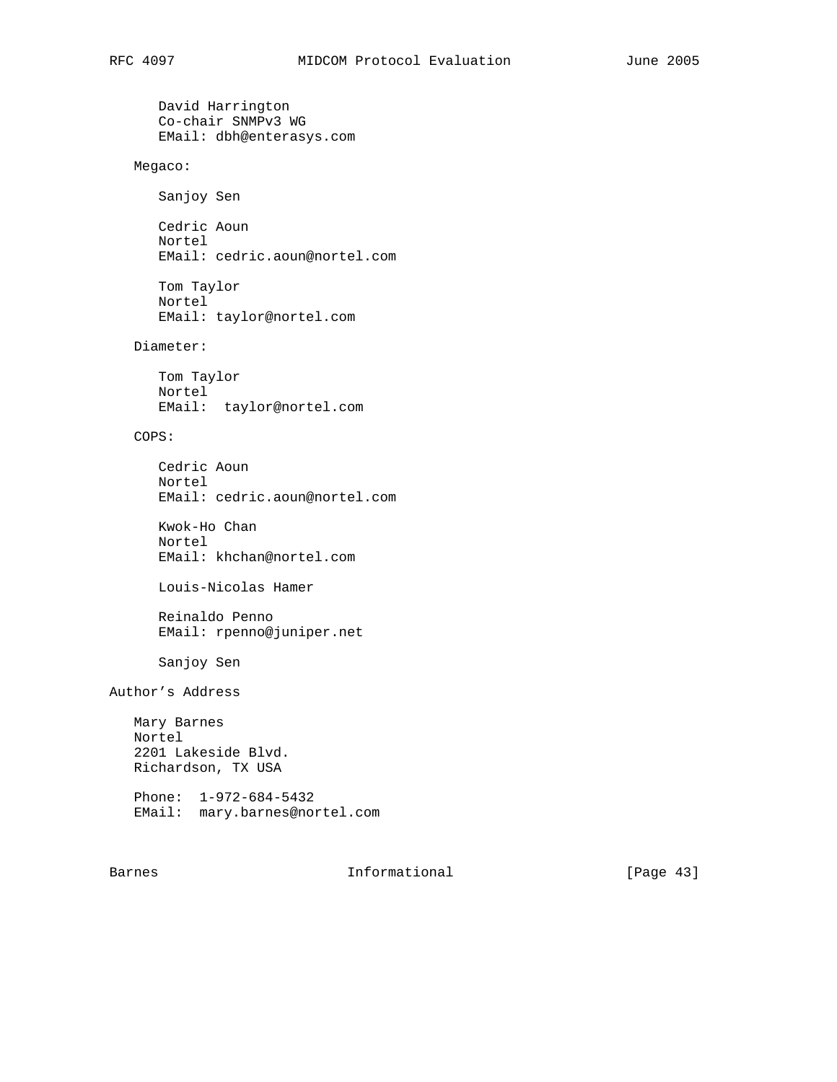```
 David Harrington
       Co-chair SNMPv3 WG
       EMail: dbh@enterasys.com
    Megaco:
       Sanjoy Sen
       Cedric Aoun
       Nortel
       EMail: cedric.aoun@nortel.com
       Tom Taylor
       Nortel
       EMail: taylor@nortel.com
    Diameter:
       Tom Taylor
       Nortel
       EMail: taylor@nortel.com
    COPS:
       Cedric Aoun
       Nortel
       EMail: cedric.aoun@nortel.com
       Kwok-Ho Chan
       Nortel
       EMail: khchan@nortel.com
       Louis-Nicolas Hamer
       Reinaldo Penno
       EMail: rpenno@juniper.net
       Sanjoy Sen
Author's Address
   Mary Barnes
   Nortel
    2201 Lakeside Blvd.
    Richardson, TX USA
    Phone: 1-972-684-5432
    EMail: mary.barnes@nortel.com
```
Barnes **Informational Informational** [Page 43]